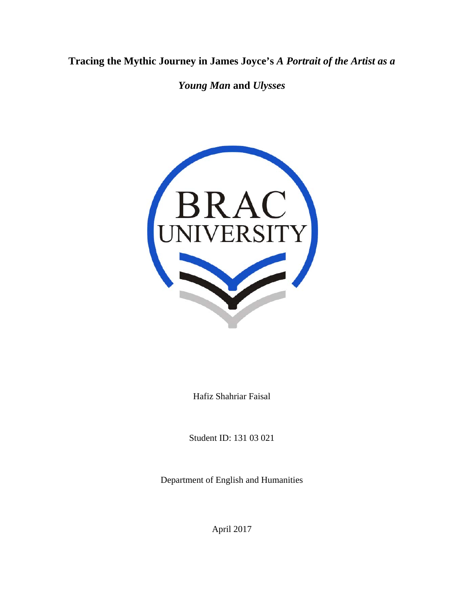**Tracing the Mythic Journey in James Joyce's** *A Portrait of the Artist as a* 

*Young Man* **and** *Ulysses*



Hafiz Shahriar Faisal

Student ID: 131 03 021

Department of English and Humanities

April 2017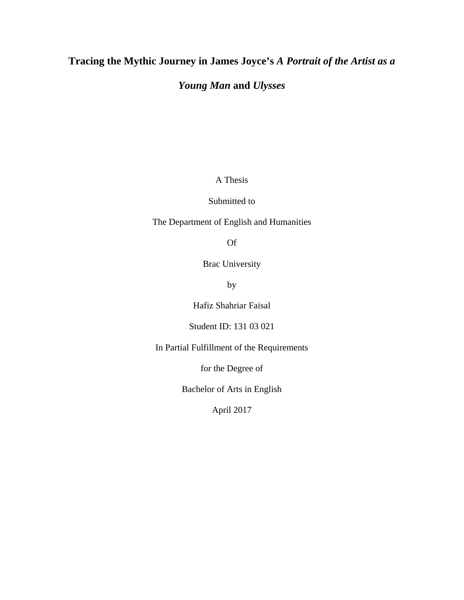# **Tracing the Mythic Journey in James Joyce's** *A Portrait of the Artist as a*

# *Young Man* **and** *Ulysses*

A Thesis

## Submitted to

## The Department of English and Humanities

Of

Brac University

by

Hafiz Shahriar Faisal

Student ID: 131 03 021

In Partial Fulfillment of the Requirements

for the Degree of

Bachelor of Arts in English

April 2017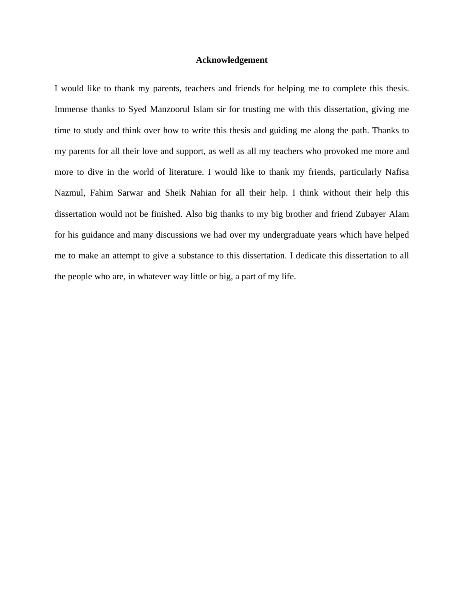#### **Acknowledgement**

I would like to thank my parents, teachers and friends for helping me to complete this thesis. Immense thanks to Syed Manzoorul Islam sir for trusting me with this dissertation, giving me time to study and think over how to write this thesis and guiding me along the path. Thanks to my parents for all their love and support, as well as all my teachers who provoked me more and more to dive in the world of literature. I would like to thank my friends, particularly Nafisa Nazmul, Fahim Sarwar and Sheik Nahian for all their help. I think without their help this dissertation would not be finished. Also big thanks to my big brother and friend Zubayer Alam for his guidance and many discussions we had over my undergraduate years which have helped me to make an attempt to give a substance to this dissertation. I dedicate this dissertation to all the people who are, in whatever way little or big, a part of my life.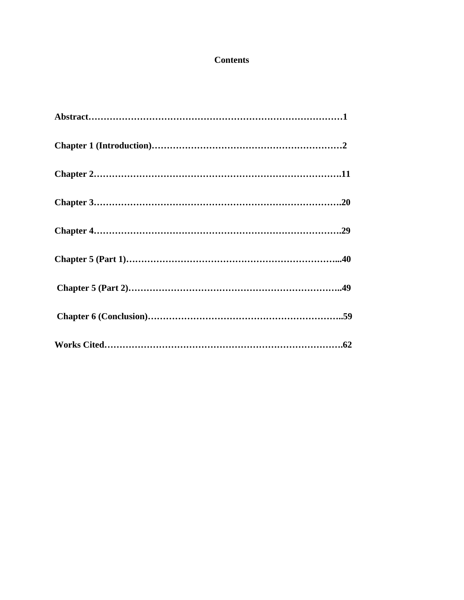# **Contents**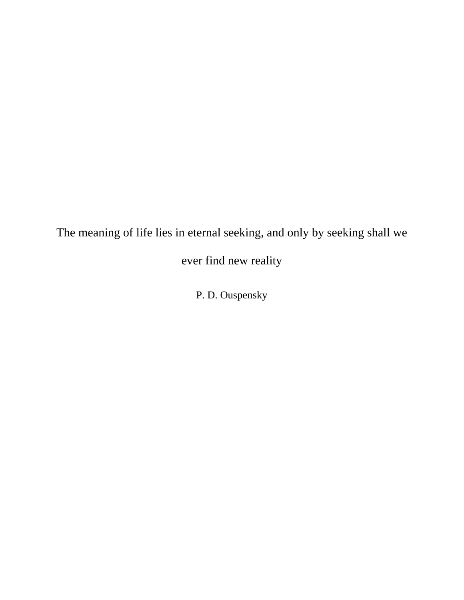The meaning of life lies in eternal seeking, and only by seeking shall we

ever find new reality

P. D. Ouspensky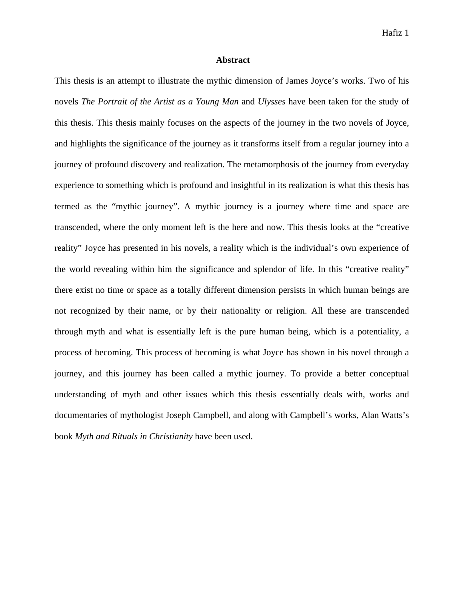#### **Abstract**

This thesis is an attempt to illustrate the mythic dimension of James Joyce's works. Two of his novels *The Portrait of the Artist as a Young Man* and *Ulysses* have been taken for the study of this thesis. This thesis mainly focuses on the aspects of the journey in the two novels of Joyce, and highlights the significance of the journey as it transforms itself from a regular journey into a journey of profound discovery and realization. The metamorphosis of the journey from everyday experience to something which is profound and insightful in its realization is what this thesis has termed as the "mythic journey". A mythic journey is a journey where time and space are transcended, where the only moment left is the here and now. This thesis looks at the "creative reality" Joyce has presented in his novels, a reality which is the individual's own experience of the world revealing within him the significance and splendor of life. In this "creative reality" there exist no time or space as a totally different dimension persists in which human beings are not recognized by their name, or by their nationality or religion. All these are transcended through myth and what is essentially left is the pure human being, which is a potentiality, a process of becoming. This process of becoming is what Joyce has shown in his novel through a journey, and this journey has been called a mythic journey. To provide a better conceptual understanding of myth and other issues which this thesis essentially deals with, works and documentaries of mythologist Joseph Campbell, and along with Campbell's works, Alan Watts's book *Myth and Rituals in Christianity* have been used.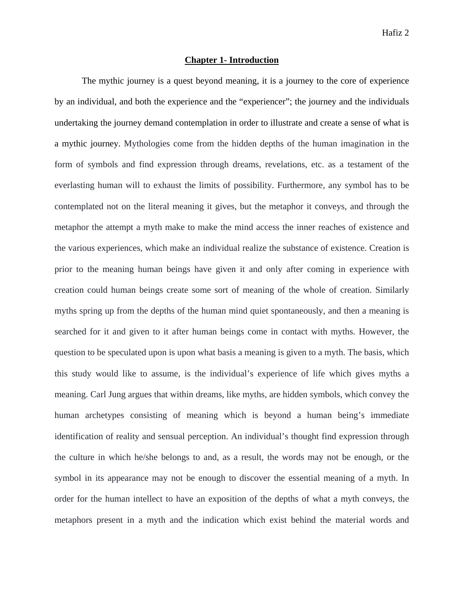## **Chapter 1- Introduction**

The mythic journey is a quest beyond meaning, it is a journey to the core of experience by an individual, and both the experience and the "experiencer"; the journey and the individuals undertaking the journey demand contemplation in order to illustrate and create a sense of what is a mythic journey. Mythologies come from the hidden depths of the human imagination in the form of symbols and find expression through dreams, revelations, etc. as a testament of the everlasting human will to exhaust the limits of possibility. Furthermore, any symbol has to be contemplated not on the literal meaning it gives, but the metaphor it conveys, and through the metaphor the attempt a myth make to make the mind access the inner reaches of existence and the various experiences, which make an individual realize the substance of existence. Creation is prior to the meaning human beings have given it and only after coming in experience with creation could human beings create some sort of meaning of the whole of creation. Similarly myths spring up from the depths of the human mind quiet spontaneously, and then a meaning is searched for it and given to it after human beings come in contact with myths. However, the question to be speculated upon is upon what basis a meaning is given to a myth. The basis, which this study would like to assume, is the individual's experience of life which gives myths a meaning. Carl Jung argues that within dreams, like myths, are hidden symbols, which convey the human archetypes consisting of meaning which is beyond a human being's immediate identification of reality and sensual perception. An individual's thought find expression through the culture in which he/she belongs to and, as a result, the words may not be enough, or the symbol in its appearance may not be enough to discover the essential meaning of a myth. In order for the human intellect to have an exposition of the depths of what a myth conveys, the metaphors present in a myth and the indication which exist behind the material words and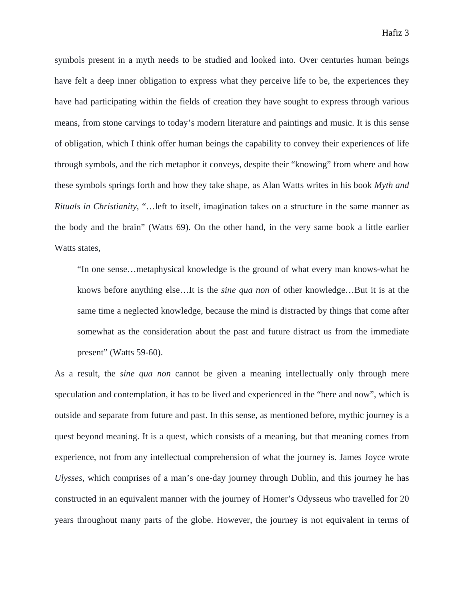symbols present in a myth needs to be studied and looked into. Over centuries human beings have felt a deep inner obligation to express what they perceive life to be, the experiences they have had participating within the fields of creation they have sought to express through various means, from stone carvings to today's modern literature and paintings and music. It is this sense of obligation, which I think offer human beings the capability to convey their experiences of life through symbols, and the rich metaphor it conveys, despite their "knowing" from where and how these symbols springs forth and how they take shape, as Alan Watts writes in his book *Myth and Rituals in Christianity*, "…left to itself, imagination takes on a structure in the same manner as the body and the brain" (Watts 69). On the other hand, in the very same book a little earlier Watts states.

"In one sense…metaphysical knowledge is the ground of what every man knows-what he knows before anything else…It is the *sine qua non* of other knowledge…But it is at the same time a neglected knowledge, because the mind is distracted by things that come after somewhat as the consideration about the past and future distract us from the immediate present" (Watts 59-60).

As a result, the *sine qua non* cannot be given a meaning intellectually only through mere speculation and contemplation, it has to be lived and experienced in the "here and now", which is outside and separate from future and past. In this sense, as mentioned before, mythic journey is a quest beyond meaning. It is a quest, which consists of a meaning, but that meaning comes from experience, not from any intellectual comprehension of what the journey is. James Joyce wrote *Ulysses*, which comprises of a man's one-day journey through Dublin, and this journey he has constructed in an equivalent manner with the journey of Homer's Odysseus who travelled for 20 years throughout many parts of the globe. However, the journey is not equivalent in terms of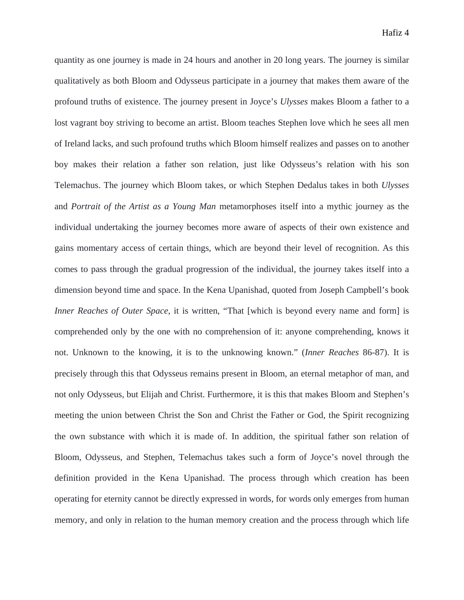quantity as one journey is made in 24 hours and another in 20 long years. The journey is similar qualitatively as both Bloom and Odysseus participate in a journey that makes them aware of the profound truths of existence. The journey present in Joyce's *Ulysses* makes Bloom a father to a lost vagrant boy striving to become an artist. Bloom teaches Stephen love which he sees all men of Ireland lacks, and such profound truths which Bloom himself realizes and passes on to another boy makes their relation a father son relation, just like Odysseus's relation with his son Telemachus. The journey which Bloom takes, or which Stephen Dedalus takes in both *Ulysses* and *Portrait of the Artist as a Young Man* metamorphoses itself into a mythic journey as the individual undertaking the journey becomes more aware of aspects of their own existence and gains momentary access of certain things, which are beyond their level of recognition. As this comes to pass through the gradual progression of the individual, the journey takes itself into a dimension beyond time and space. In the Kena Upanishad, quoted from Joseph Campbell's book *Inner Reaches of Outer Space*, it is written, "That [which is beyond every name and form] is comprehended only by the one with no comprehension of it: anyone comprehending, knows it not. Unknown to the knowing, it is to the unknowing known." (*Inner Reaches* 86-87). It is precisely through this that Odysseus remains present in Bloom, an eternal metaphor of man, and not only Odysseus, but Elijah and Christ. Furthermore, it is this that makes Bloom and Stephen's meeting the union between Christ the Son and Christ the Father or God, the Spirit recognizing the own substance with which it is made of. In addition, the spiritual father son relation of Bloom, Odysseus, and Stephen, Telemachus takes such a form of Joyce's novel through the definition provided in the Kena Upanishad. The process through which creation has been operating for eternity cannot be directly expressed in words, for words only emerges from human memory, and only in relation to the human memory creation and the process through which life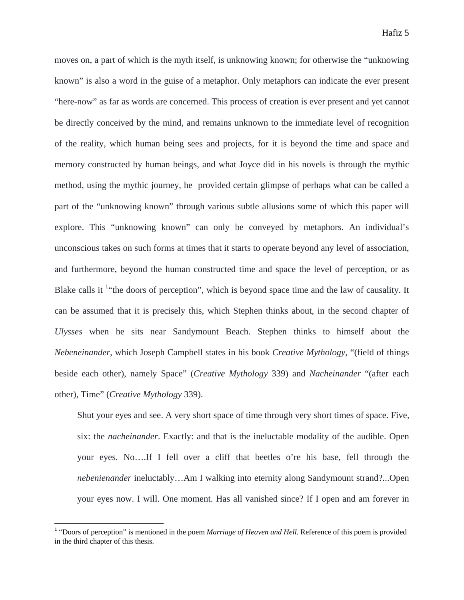moves on, a part of which is the myth itself, is unknowing known; for otherwise the "unknowing known" is also a word in the guise of a metaphor. Only metaphors can indicate the ever present "here-now" as far as words are concerned. This process of creation is ever present and yet cannot be directly conceived by the mind, and remains unknown to the immediate level of recognition of the reality, which human being sees and projects, for it is beyond the time and space and memory constructed by human beings, and what Joyce did in his novels is through the mythic method, using the mythic journey, he provided certain glimpse of perhaps what can be called a part of the "unknowing known" through various subtle allusions some of which this paper will explore. This "unknowing known" can only be conveyed by metaphors. An individual's unconscious takes on such forms at times that it starts to operate beyond any level of association, and furthermore, beyond the human constructed time and space the level of perception, or as Blake calls it <sup>1</sup> the doors of perception", which is beyond space time and the law of causality. It can be assumed that it is precisely this, which Stephen thinks about, in the second chapter of *Ulysses* when he sits near Sandymount Beach. Stephen thinks to himself about the *Nebeneinander*, which Joseph Campbell states in his book *Creative Mythology*, "(field of things beside each other), namely Space" (*Creative Mythology* 339) and *Nacheinander* "(after each other), Time" (*Creative Mythology* 339).

Shut your eyes and see. A very short space of time through very short times of space. Five, six: the *nacheinander*. Exactly: and that is the ineluctable modality of the audible. Open your eyes. No….If I fell over a cliff that beetles o're his base, fell through the *nebenienander* ineluctably…Am I walking into eternity along Sandymount strand?...Open your eyes now. I will. One moment. Has all vanished since? If I open and am forever in

<sup>&</sup>lt;sup>1</sup> "Doors of perception" is mentioned in the poem *Marriage of Heaven and Hell*. Reference of this poem is provided in the third chapter of this thesis.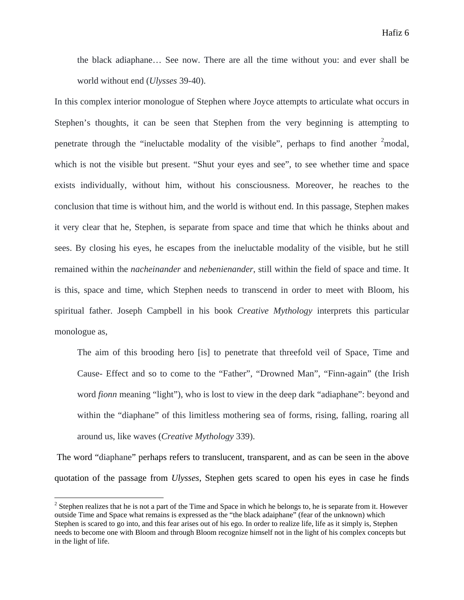the black adiaphane… See now. There are all the time without you: and ever shall be world without end (*Ulysses* 39-40).

In this complex interior monologue of Stephen where Joyce attempts to articulate what occurs in Stephen's thoughts, it can be seen that Stephen from the very beginning is attempting to penetrate through the "ineluctable modality of the visible", perhaps to find another  $2 \text{ modal}$ , which is not the visible but present. "Shut your eyes and see", to see whether time and space exists individually, without him, without his consciousness. Moreover, he reaches to the conclusion that time is without him, and the world is without end. In this passage, Stephen makes it very clear that he, Stephen, is separate from space and time that which he thinks about and sees. By closing his eyes, he escapes from the ineluctable modality of the visible, but he still remained within the *nacheinander* and *nebenienander*, still within the field of space and time. It is this, space and time, which Stephen needs to transcend in order to meet with Bloom, his spiritual father. Joseph Campbell in his book *Creative Mythology* interprets this particular monologue as,

The aim of this brooding hero [is] to penetrate that threefold veil of Space, Time and Cause- Effect and so to come to the "Father", "Drowned Man", "Finn-again" (the Irish word *fionn* meaning "light"), who is lost to view in the deep dark "adiaphane": beyond and within the "diaphane" of this limitless mothering sea of forms, rising, falling, roaring all around us, like waves (*Creative Mythology* 339).

 The word "diaphane" perhaps refers to translucent, transparent, and as can be seen in the above quotation of the passage from *Ulysses*, Stephen gets scared to open his eyes in case he finds

 $2^2$  Stephen realizes that he is not a part of the Time and Space in which he belongs to, he is separate from it. However outside Time and Space what remains is expressed as the "the black adaiphane" (fear of the unknown) which Stephen is scared to go into, and this fear arises out of his ego. In order to realize life, life as it simply is, Stephen needs to become one with Bloom and through Bloom recognize himself not in the light of his complex concepts but in the light of life.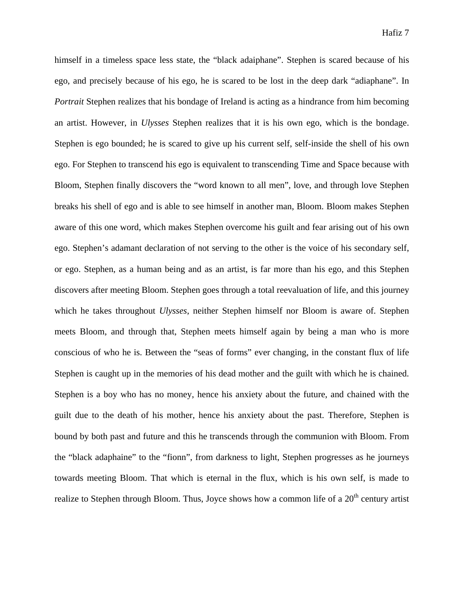himself in a timeless space less state, the "black adaiphane". Stephen is scared because of his ego, and precisely because of his ego, he is scared to be lost in the deep dark "adiaphane". In *Portrait* Stephen realizes that his bondage of Ireland is acting as a hindrance from him becoming an artist. However, in *Ulysses* Stephen realizes that it is his own ego, which is the bondage. Stephen is ego bounded; he is scared to give up his current self, self-inside the shell of his own ego. For Stephen to transcend his ego is equivalent to transcending Time and Space because with Bloom, Stephen finally discovers the "word known to all men", love, and through love Stephen breaks his shell of ego and is able to see himself in another man, Bloom. Bloom makes Stephen aware of this one word, which makes Stephen overcome his guilt and fear arising out of his own ego. Stephen's adamant declaration of not serving to the other is the voice of his secondary self, or ego. Stephen, as a human being and as an artist, is far more than his ego, and this Stephen discovers after meeting Bloom. Stephen goes through a total reevaluation of life, and this journey which he takes throughout *Ulysses*, neither Stephen himself nor Bloom is aware of. Stephen meets Bloom, and through that, Stephen meets himself again by being a man who is more conscious of who he is. Between the "seas of forms" ever changing, in the constant flux of life Stephen is caught up in the memories of his dead mother and the guilt with which he is chained. Stephen is a boy who has no money, hence his anxiety about the future, and chained with the guilt due to the death of his mother, hence his anxiety about the past. Therefore, Stephen is bound by both past and future and this he transcends through the communion with Bloom. From the "black adaphaine" to the "fionn", from darkness to light, Stephen progresses as he journeys towards meeting Bloom. That which is eternal in the flux, which is his own self, is made to realize to Stephen through Bloom. Thus, Joyce shows how a common life of a  $20<sup>th</sup>$  century artist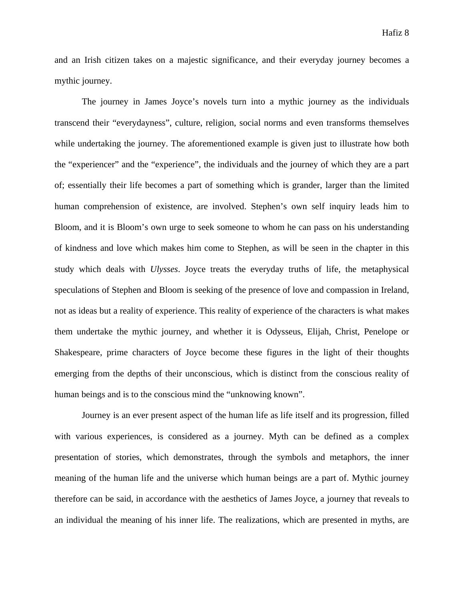and an Irish citizen takes on a majestic significance, and their everyday journey becomes a mythic journey.

 The journey in James Joyce's novels turn into a mythic journey as the individuals transcend their "everydayness", culture, religion, social norms and even transforms themselves while undertaking the journey. The aforementioned example is given just to illustrate how both the "experiencer" and the "experience", the individuals and the journey of which they are a part of; essentially their life becomes a part of something which is grander, larger than the limited human comprehension of existence, are involved. Stephen's own self inquiry leads him to Bloom, and it is Bloom's own urge to seek someone to whom he can pass on his understanding of kindness and love which makes him come to Stephen, as will be seen in the chapter in this study which deals with *Ulysses*. Joyce treats the everyday truths of life, the metaphysical speculations of Stephen and Bloom is seeking of the presence of love and compassion in Ireland, not as ideas but a reality of experience. This reality of experience of the characters is what makes them undertake the mythic journey, and whether it is Odysseus, Elijah, Christ, Penelope or Shakespeare, prime characters of Joyce become these figures in the light of their thoughts emerging from the depths of their unconscious, which is distinct from the conscious reality of human beings and is to the conscious mind the "unknowing known".

 Journey is an ever present aspect of the human life as life itself and its progression, filled with various experiences, is considered as a journey. Myth can be defined as a complex presentation of stories, which demonstrates, through the symbols and metaphors, the inner meaning of the human life and the universe which human beings are a part of. Mythic journey therefore can be said, in accordance with the aesthetics of James Joyce, a journey that reveals to an individual the meaning of his inner life. The realizations, which are presented in myths, are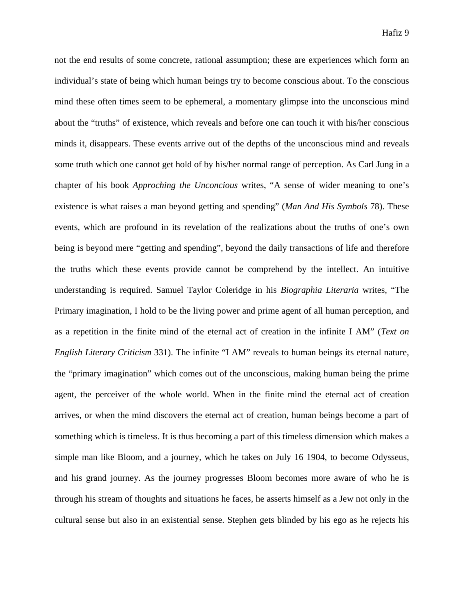not the end results of some concrete, rational assumption; these are experiences which form an individual's state of being which human beings try to become conscious about. To the conscious mind these often times seem to be ephemeral, a momentary glimpse into the unconscious mind about the "truths" of existence, which reveals and before one can touch it with his/her conscious minds it, disappears. These events arrive out of the depths of the unconscious mind and reveals some truth which one cannot get hold of by his/her normal range of perception. As Carl Jung in a chapter of his book *Approching the Unconcious* writes, "A sense of wider meaning to one's existence is what raises a man beyond getting and spending" (*Man And His Symbols* 78). These events, which are profound in its revelation of the realizations about the truths of one's own being is beyond mere "getting and spending", beyond the daily transactions of life and therefore the truths which these events provide cannot be comprehend by the intellect. An intuitive understanding is required. Samuel Taylor Coleridge in his *Biographia Literaria* writes, "The Primary imagination, I hold to be the living power and prime agent of all human perception, and as a repetition in the finite mind of the eternal act of creation in the infinite I AM" (*Text on English Literary Criticism* 331). The infinite "I AM" reveals to human beings its eternal nature, the "primary imagination" which comes out of the unconscious, making human being the prime agent, the perceiver of the whole world. When in the finite mind the eternal act of creation arrives, or when the mind discovers the eternal act of creation, human beings become a part of something which is timeless. It is thus becoming a part of this timeless dimension which makes a simple man like Bloom, and a journey, which he takes on July 16 1904, to become Odysseus, and his grand journey. As the journey progresses Bloom becomes more aware of who he is through his stream of thoughts and situations he faces, he asserts himself as a Jew not only in the cultural sense but also in an existential sense. Stephen gets blinded by his ego as he rejects his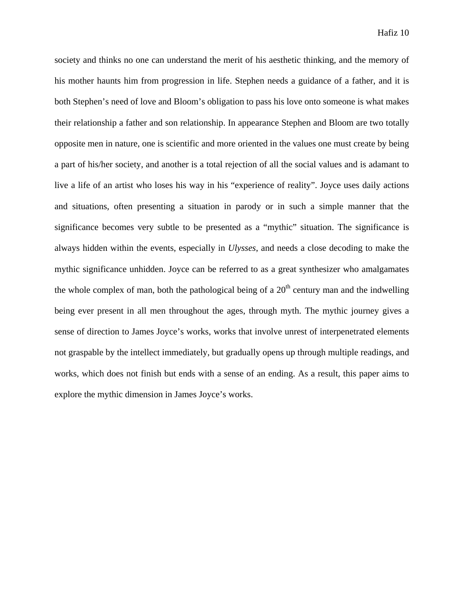society and thinks no one can understand the merit of his aesthetic thinking, and the memory of his mother haunts him from progression in life. Stephen needs a guidance of a father, and it is both Stephen's need of love and Bloom's obligation to pass his love onto someone is what makes their relationship a father and son relationship. In appearance Stephen and Bloom are two totally opposite men in nature, one is scientific and more oriented in the values one must create by being a part of his/her society, and another is a total rejection of all the social values and is adamant to live a life of an artist who loses his way in his "experience of reality". Joyce uses daily actions and situations, often presenting a situation in parody or in such a simple manner that the significance becomes very subtle to be presented as a "mythic" situation. The significance is always hidden within the events, especially in *Ulysses*, and needs a close decoding to make the mythic significance unhidden. Joyce can be referred to as a great synthesizer who amalgamates the whole complex of man, both the pathological being of a  $20<sup>th</sup>$  century man and the indwelling being ever present in all men throughout the ages, through myth. The mythic journey gives a sense of direction to James Joyce's works, works that involve unrest of interpenetrated elements not graspable by the intellect immediately, but gradually opens up through multiple readings, and works, which does not finish but ends with a sense of an ending. As a result, this paper aims to explore the mythic dimension in James Joyce's works.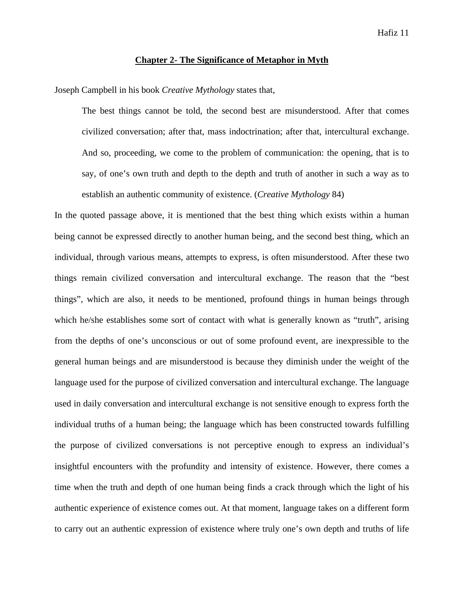#### **Chapter 2- The Significance of Metaphor in Myth**

Joseph Campbell in his book *Creative Mythology* states that,

The best things cannot be told, the second best are misunderstood. After that comes civilized conversation; after that, mass indoctrination; after that, intercultural exchange. And so, proceeding, we come to the problem of communication: the opening, that is to say, of one's own truth and depth to the depth and truth of another in such a way as to establish an authentic community of existence. (*Creative Mythology* 84)

In the quoted passage above, it is mentioned that the best thing which exists within a human being cannot be expressed directly to another human being, and the second best thing, which an individual, through various means, attempts to express, is often misunderstood. After these two things remain civilized conversation and intercultural exchange. The reason that the "best things", which are also, it needs to be mentioned, profound things in human beings through which he/she establishes some sort of contact with what is generally known as "truth", arising from the depths of one's unconscious or out of some profound event, are inexpressible to the general human beings and are misunderstood is because they diminish under the weight of the language used for the purpose of civilized conversation and intercultural exchange. The language used in daily conversation and intercultural exchange is not sensitive enough to express forth the individual truths of a human being; the language which has been constructed towards fulfilling the purpose of civilized conversations is not perceptive enough to express an individual's insightful encounters with the profundity and intensity of existence. However, there comes a time when the truth and depth of one human being finds a crack through which the light of his authentic experience of existence comes out. At that moment, language takes on a different form to carry out an authentic expression of existence where truly one's own depth and truths of life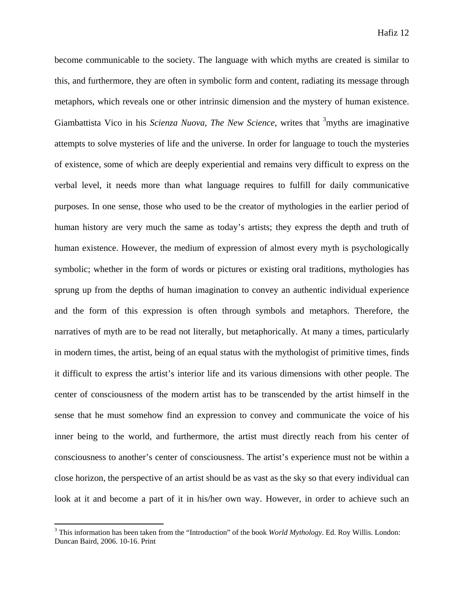become communicable to the society. The language with which myths are created is similar to this, and furthermore, they are often in symbolic form and content, radiating its message through metaphors, which reveals one or other intrinsic dimension and the mystery of human existence. Giambattista Vico in his *Scienza Nuova*, *The New Science*, writes that <sup>3</sup>myths are imaginative attempts to solve mysteries of life and the universe. In order for language to touch the mysteries of existence, some of which are deeply experiential and remains very difficult to express on the verbal level, it needs more than what language requires to fulfill for daily communicative purposes. In one sense, those who used to be the creator of mythologies in the earlier period of human history are very much the same as today's artists; they express the depth and truth of human existence. However, the medium of expression of almost every myth is psychologically symbolic; whether in the form of words or pictures or existing oral traditions, mythologies has sprung up from the depths of human imagination to convey an authentic individual experience and the form of this expression is often through symbols and metaphors. Therefore, the narratives of myth are to be read not literally, but metaphorically. At many a times, particularly in modern times, the artist, being of an equal status with the mythologist of primitive times, finds it difficult to express the artist's interior life and its various dimensions with other people. The center of consciousness of the modern artist has to be transcended by the artist himself in the sense that he must somehow find an expression to convey and communicate the voice of his inner being to the world, and furthermore, the artist must directly reach from his center of consciousness to another's center of consciousness. The artist's experience must not be within a close horizon, the perspective of an artist should be as vast as the sky so that every individual can look at it and become a part of it in his/her own way. However, in order to achieve such an

<sup>3</sup> This information has been taken from the "Introduction" of the book *World Mythology*. Ed. Roy Willis. London: Duncan Baird, 2006. 10-16. Print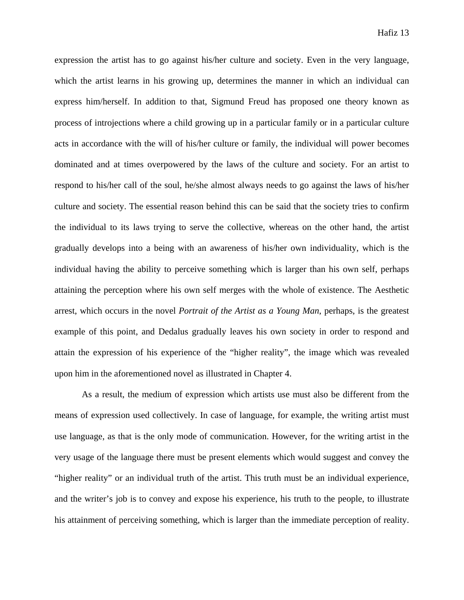expression the artist has to go against his/her culture and society. Even in the very language, which the artist learns in his growing up, determines the manner in which an individual can express him/herself. In addition to that, Sigmund Freud has proposed one theory known as process of introjections where a child growing up in a particular family or in a particular culture acts in accordance with the will of his/her culture or family, the individual will power becomes dominated and at times overpowered by the laws of the culture and society. For an artist to respond to his/her call of the soul, he/she almost always needs to go against the laws of his/her culture and society. The essential reason behind this can be said that the society tries to confirm the individual to its laws trying to serve the collective, whereas on the other hand, the artist gradually develops into a being with an awareness of his/her own individuality, which is the individual having the ability to perceive something which is larger than his own self, perhaps attaining the perception where his own self merges with the whole of existence. The Aesthetic arrest, which occurs in the novel *Portrait of the Artist as a Young Man*, perhaps, is the greatest example of this point, and Dedalus gradually leaves his own society in order to respond and attain the expression of his experience of the "higher reality", the image which was revealed upon him in the aforementioned novel as illustrated in Chapter 4.

 As a result, the medium of expression which artists use must also be different from the means of expression used collectively. In case of language, for example, the writing artist must use language, as that is the only mode of communication. However, for the writing artist in the very usage of the language there must be present elements which would suggest and convey the "higher reality" or an individual truth of the artist. This truth must be an individual experience, and the writer's job is to convey and expose his experience, his truth to the people, to illustrate his attainment of perceiving something, which is larger than the immediate perception of reality.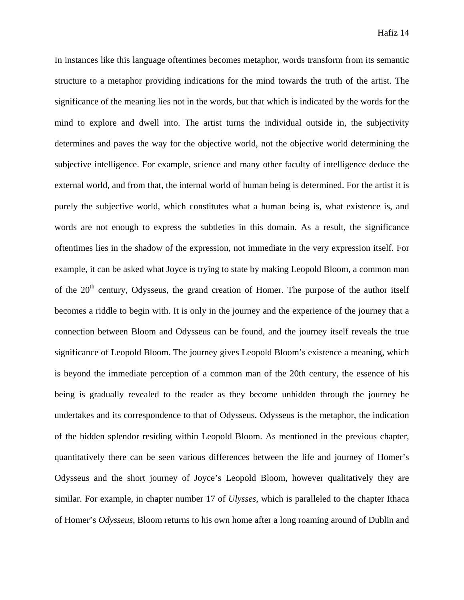In instances like this language oftentimes becomes metaphor, words transform from its semantic structure to a metaphor providing indications for the mind towards the truth of the artist. The significance of the meaning lies not in the words, but that which is indicated by the words for the mind to explore and dwell into. The artist turns the individual outside in, the subjectivity determines and paves the way for the objective world, not the objective world determining the subjective intelligence. For example, science and many other faculty of intelligence deduce the external world, and from that, the internal world of human being is determined. For the artist it is purely the subjective world, which constitutes what a human being is, what existence is, and words are not enough to express the subtleties in this domain. As a result, the significance oftentimes lies in the shadow of the expression, not immediate in the very expression itself. For example, it can be asked what Joyce is trying to state by making Leopold Bloom, a common man of the  $20<sup>th</sup>$  century, Odysseus, the grand creation of Homer. The purpose of the author itself becomes a riddle to begin with. It is only in the journey and the experience of the journey that a connection between Bloom and Odysseus can be found, and the journey itself reveals the true significance of Leopold Bloom. The journey gives Leopold Bloom's existence a meaning, which is beyond the immediate perception of a common man of the 20th century, the essence of his being is gradually revealed to the reader as they become unhidden through the journey he undertakes and its correspondence to that of Odysseus. Odysseus is the metaphor, the indication of the hidden splendor residing within Leopold Bloom. As mentioned in the previous chapter, quantitatively there can be seen various differences between the life and journey of Homer's Odysseus and the short journey of Joyce's Leopold Bloom, however qualitatively they are similar. For example, in chapter number 17 of *Ulysses*, which is paralleled to the chapter Ithaca of Homer's *Odysseus*, Bloom returns to his own home after a long roaming around of Dublin and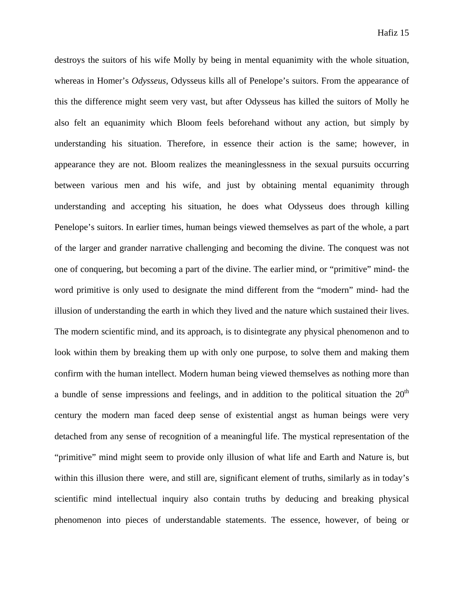destroys the suitors of his wife Molly by being in mental equanimity with the whole situation, whereas in Homer's *Odysseus*, Odysseus kills all of Penelope's suitors. From the appearance of this the difference might seem very vast, but after Odysseus has killed the suitors of Molly he also felt an equanimity which Bloom feels beforehand without any action, but simply by understanding his situation. Therefore, in essence their action is the same; however, in appearance they are not. Bloom realizes the meaninglessness in the sexual pursuits occurring between various men and his wife, and just by obtaining mental equanimity through understanding and accepting his situation, he does what Odysseus does through killing Penelope's suitors. In earlier times, human beings viewed themselves as part of the whole, a part of the larger and grander narrative challenging and becoming the divine. The conquest was not one of conquering, but becoming a part of the divine. The earlier mind, or "primitive" mind- the word primitive is only used to designate the mind different from the "modern" mind- had the illusion of understanding the earth in which they lived and the nature which sustained their lives. The modern scientific mind, and its approach, is to disintegrate any physical phenomenon and to look within them by breaking them up with only one purpose, to solve them and making them confirm with the human intellect. Modern human being viewed themselves as nothing more than a bundle of sense impressions and feelings, and in addition to the political situation the  $20<sup>th</sup>$ century the modern man faced deep sense of existential angst as human beings were very detached from any sense of recognition of a meaningful life. The mystical representation of the "primitive" mind might seem to provide only illusion of what life and Earth and Nature is, but within this illusion there were, and still are, significant element of truths, similarly as in today's scientific mind intellectual inquiry also contain truths by deducing and breaking physical phenomenon into pieces of understandable statements. The essence, however, of being or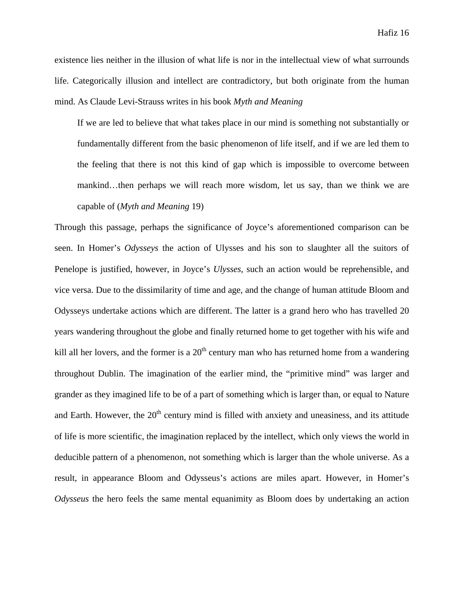existence lies neither in the illusion of what life is nor in the intellectual view of what surrounds life. Categorically illusion and intellect are contradictory, but both originate from the human mind. As Claude Levi-Strauss writes in his book *Myth and Meaning*

If we are led to believe that what takes place in our mind is something not substantially or fundamentally different from the basic phenomenon of life itself, and if we are led them to the feeling that there is not this kind of gap which is impossible to overcome between mankind…then perhaps we will reach more wisdom, let us say, than we think we are capable of (*Myth and Meaning* 19)

Through this passage, perhaps the significance of Joyce's aforementioned comparison can be seen. In Homer's *Odysseys* the action of Ulysses and his son to slaughter all the suitors of Penelope is justified, however, in Joyce's *Ulysses,* such an action would be reprehensible, and vice versa. Due to the dissimilarity of time and age, and the change of human attitude Bloom and Odysseys undertake actions which are different. The latter is a grand hero who has travelled 20 years wandering throughout the globe and finally returned home to get together with his wife and kill all her lovers, and the former is a  $20<sup>th</sup>$  century man who has returned home from a wandering throughout Dublin. The imagination of the earlier mind, the "primitive mind" was larger and grander as they imagined life to be of a part of something which is larger than, or equal to Nature and Earth. However, the  $20<sup>th</sup>$  century mind is filled with anxiety and uneasiness, and its attitude of life is more scientific, the imagination replaced by the intellect, which only views the world in deducible pattern of a phenomenon, not something which is larger than the whole universe. As a result, in appearance Bloom and Odysseus's actions are miles apart. However, in Homer's *Odysseus* the hero feels the same mental equanimity as Bloom does by undertaking an action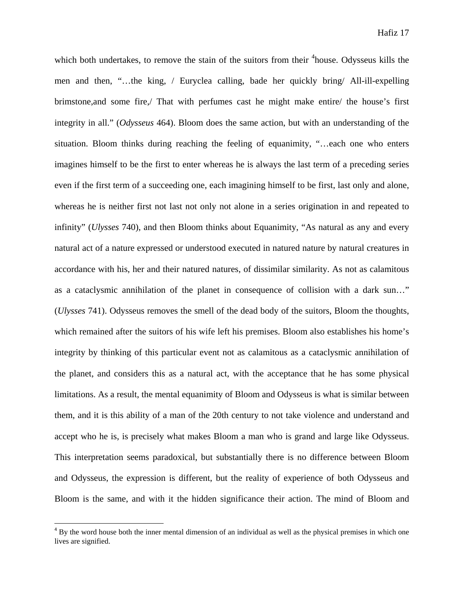which both undertakes, to remove the stain of the suitors from their  $4$ house. Odysseus kills the men and then, "…the king, / Euryclea calling, bade her quickly bring/ All-ill-expelling brimstone,and some fire,/ That with perfumes cast he might make entire/ the house's first integrity in all." (*Odysseus* 464). Bloom does the same action, but with an understanding of the situation. Bloom thinks during reaching the feeling of equanimity, "…each one who enters imagines himself to be the first to enter whereas he is always the last term of a preceding series even if the first term of a succeeding one, each imagining himself to be first, last only and alone, whereas he is neither first not last not only not alone in a series origination in and repeated to infinity" (*Ulysses* 740), and then Bloom thinks about Equanimity, "As natural as any and every natural act of a nature expressed or understood executed in natured nature by natural creatures in accordance with his, her and their natured natures, of dissimilar similarity. As not as calamitous as a cataclysmic annihilation of the planet in consequence of collision with a dark sun…" (*Ulysses* 741). Odysseus removes the smell of the dead body of the suitors, Bloom the thoughts, which remained after the suitors of his wife left his premises. Bloom also establishes his home's integrity by thinking of this particular event not as calamitous as a cataclysmic annihilation of the planet, and considers this as a natural act, with the acceptance that he has some physical limitations. As a result, the mental equanimity of Bloom and Odysseus is what is similar between them, and it is this ability of a man of the 20th century to not take violence and understand and accept who he is, is precisely what makes Bloom a man who is grand and large like Odysseus. This interpretation seems paradoxical, but substantially there is no difference between Bloom and Odysseus, the expression is different, but the reality of experience of both Odysseus and Bloom is the same, and with it the hidden significance their action. The mind of Bloom and

 $4 By$  the word house both the inner mental dimension of an individual as well as the physical premises in which one lives are signified.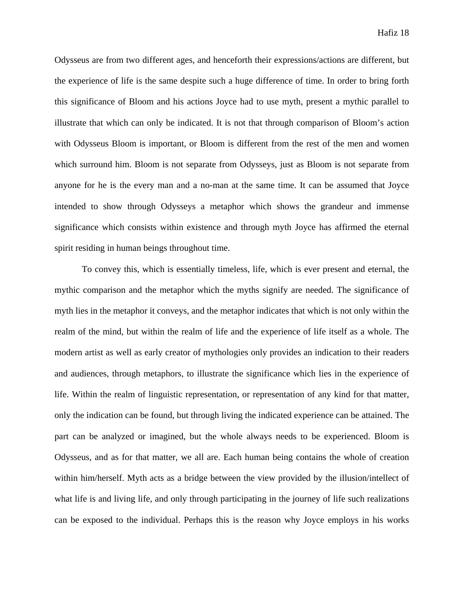Odysseus are from two different ages, and henceforth their expressions/actions are different, but the experience of life is the same despite such a huge difference of time. In order to bring forth this significance of Bloom and his actions Joyce had to use myth, present a mythic parallel to illustrate that which can only be indicated. It is not that through comparison of Bloom's action with Odysseus Bloom is important, or Bloom is different from the rest of the men and women which surround him. Bloom is not separate from Odysseys, just as Bloom is not separate from anyone for he is the every man and a no-man at the same time. It can be assumed that Joyce intended to show through Odysseys a metaphor which shows the grandeur and immense significance which consists within existence and through myth Joyce has affirmed the eternal spirit residing in human beings throughout time.

To convey this, which is essentially timeless, life, which is ever present and eternal, the mythic comparison and the metaphor which the myths signify are needed. The significance of myth lies in the metaphor it conveys, and the metaphor indicates that which is not only within the realm of the mind, but within the realm of life and the experience of life itself as a whole. The modern artist as well as early creator of mythologies only provides an indication to their readers and audiences, through metaphors, to illustrate the significance which lies in the experience of life. Within the realm of linguistic representation, or representation of any kind for that matter, only the indication can be found, but through living the indicated experience can be attained. The part can be analyzed or imagined, but the whole always needs to be experienced. Bloom is Odysseus, and as for that matter, we all are. Each human being contains the whole of creation within him/herself. Myth acts as a bridge between the view provided by the illusion/intellect of what life is and living life, and only through participating in the journey of life such realizations can be exposed to the individual. Perhaps this is the reason why Joyce employs in his works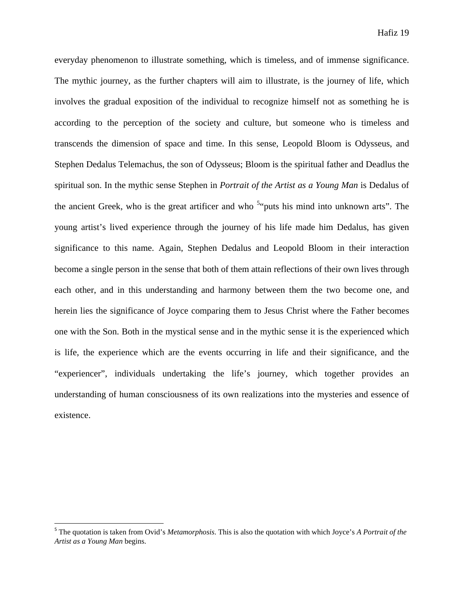everyday phenomenon to illustrate something, which is timeless, and of immense significance. The mythic journey, as the further chapters will aim to illustrate, is the journey of life, which involves the gradual exposition of the individual to recognize himself not as something he is according to the perception of the society and culture, but someone who is timeless and transcends the dimension of space and time. In this sense, Leopold Bloom is Odysseus, and Stephen Dedalus Telemachus, the son of Odysseus; Bloom is the spiritual father and Deadlus the spiritual son. In the mythic sense Stephen in *Portrait of the Artist as a Young Man* is Dedalus of the ancient Greek, who is the great artificer and who  $5$ <sup>t</sup> puts his mind into unknown arts". The young artist's lived experience through the journey of his life made him Dedalus, has given significance to this name. Again, Stephen Dedalus and Leopold Bloom in their interaction become a single person in the sense that both of them attain reflections of their own lives through each other, and in this understanding and harmony between them the two become one, and herein lies the significance of Joyce comparing them to Jesus Christ where the Father becomes one with the Son. Both in the mystical sense and in the mythic sense it is the experienced which is life, the experience which are the events occurring in life and their significance, and the "experiencer", individuals undertaking the life's journey, which together provides an understanding of human consciousness of its own realizations into the mysteries and essence of existence.

<sup>5</sup> The quotation is taken from Ovid's *Metamorphosis*. This is also the quotation with which Joyce's *A Portrait of the Artist as a Young Man* begins.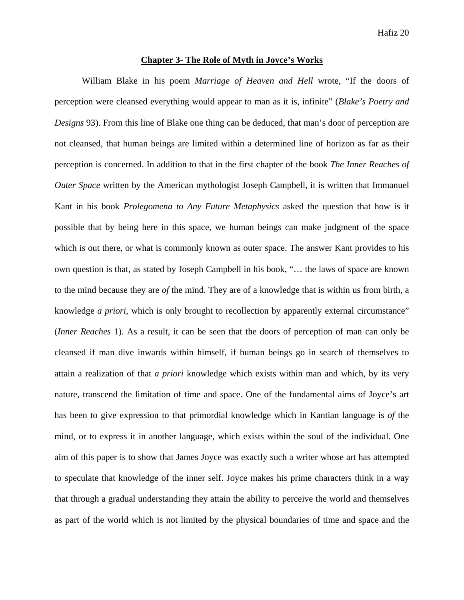#### **Chapter 3- The Role of Myth in Joyce's Works**

William Blake in his poem *Marriage of Heaven and Hell* wrote, "If the doors of perception were cleansed everything would appear to man as it is, infinite" (*Blake's Poetry and Designs* 93). From this line of Blake one thing can be deduced, that man's door of perception are not cleansed, that human beings are limited within a determined line of horizon as far as their perception is concerned. In addition to that in the first chapter of the book *The Inner Reaches of Outer Space* written by the American mythologist Joseph Campbell, it is written that Immanuel Kant in his book *Prolegomena to Any Future Metaphysics* asked the question that how is it possible that by being here in this space, we human beings can make judgment of the space which is out there, or what is commonly known as outer space. The answer Kant provides to his own question is that, as stated by Joseph Campbell in his book, "… the laws of space are known to the mind because they are *of* the mind. They are of a knowledge that is within us from birth, a knowledge *a priori*, which is only brought to recollection by apparently external circumstance" (*Inner Reaches* 1). As a result, it can be seen that the doors of perception of man can only be cleansed if man dive inwards within himself, if human beings go in search of themselves to attain a realization of that *a priori* knowledge which exists within man and which, by its very nature, transcend the limitation of time and space. One of the fundamental aims of Joyce's art has been to give expression to that primordial knowledge which in Kantian language is *of* the mind, or to express it in another language, which exists within the soul of the individual. One aim of this paper is to show that James Joyce was exactly such a writer whose art has attempted to speculate that knowledge of the inner self. Joyce makes his prime characters think in a way that through a gradual understanding they attain the ability to perceive the world and themselves as part of the world which is not limited by the physical boundaries of time and space and the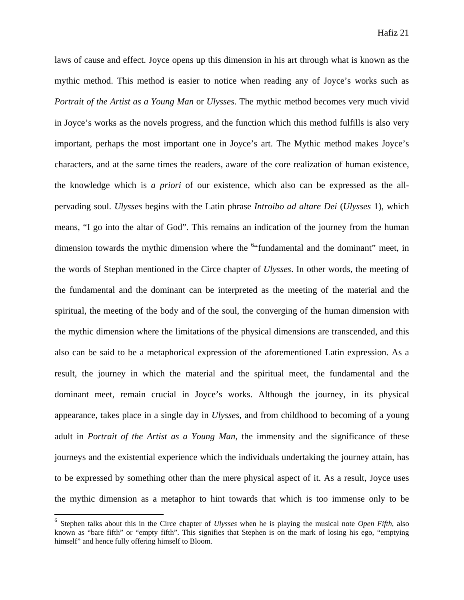laws of cause and effect. Joyce opens up this dimension in his art through what is known as the mythic method. This method is easier to notice when reading any of Joyce's works such as *Portrait of the Artist as a Young Man* or *Ulysses*. The mythic method becomes very much vivid in Joyce's works as the novels progress, and the function which this method fulfills is also very important, perhaps the most important one in Joyce's art. The Mythic method makes Joyce's characters, and at the same times the readers, aware of the core realization of human existence, the knowledge which is *a priori* of our existence, which also can be expressed as the allpervading soul. *Ulysses* begins with the Latin phrase *Introibo ad altare Dei* (*Ulysses* 1), which means, "I go into the altar of God". This remains an indication of the journey from the human dimension towards the mythic dimension where the <sup>6</sup>"fundamental and the dominant" meet, in the words of Stephan mentioned in the Circe chapter of *Ulysses*. In other words, the meeting of the fundamental and the dominant can be interpreted as the meeting of the material and the spiritual, the meeting of the body and of the soul, the converging of the human dimension with the mythic dimension where the limitations of the physical dimensions are transcended, and this also can be said to be a metaphorical expression of the aforementioned Latin expression. As a result, the journey in which the material and the spiritual meet, the fundamental and the dominant meet, remain crucial in Joyce's works. Although the journey, in its physical appearance, takes place in a single day in *Ulysses*, and from childhood to becoming of a young adult in *Portrait of the Artist as a Young Man*, the immensity and the significance of these journeys and the existential experience which the individuals undertaking the journey attain, has to be expressed by something other than the mere physical aspect of it. As a result, Joyce uses the mythic dimension as a metaphor to hint towards that which is too immense only to be

<sup>6</sup> Stephen talks about this in the Circe chapter of *Ulysses* when he is playing the musical note *Open Fifth*, also known as "bare fifth" or "empty fifth". This signifies that Stephen is on the mark of losing his ego, "emptying himself" and hence fully offering himself to Bloom.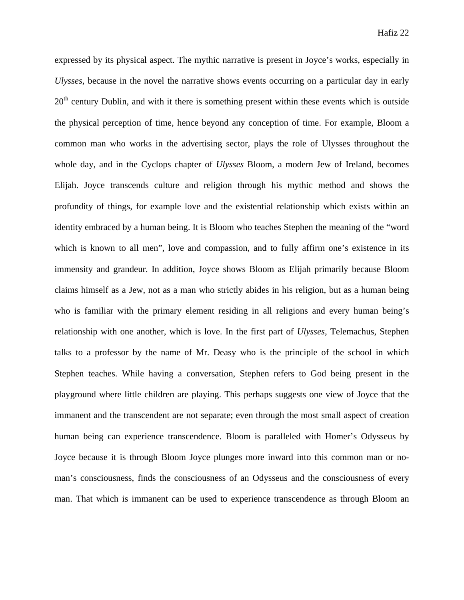expressed by its physical aspect. The mythic narrative is present in Joyce's works, especially in *Ulysses*, because in the novel the narrative shows events occurring on a particular day in early  $20<sup>th</sup>$  century Dublin, and with it there is something present within these events which is outside the physical perception of time, hence beyond any conception of time. For example, Bloom a common man who works in the advertising sector, plays the role of Ulysses throughout the whole day, and in the Cyclops chapter of *Ulysses* Bloom, a modern Jew of Ireland, becomes Elijah. Joyce transcends culture and religion through his mythic method and shows the profundity of things, for example love and the existential relationship which exists within an identity embraced by a human being. It is Bloom who teaches Stephen the meaning of the "word which is known to all men", love and compassion, and to fully affirm one's existence in its immensity and grandeur. In addition, Joyce shows Bloom as Elijah primarily because Bloom claims himself as a Jew, not as a man who strictly abides in his religion, but as a human being who is familiar with the primary element residing in all religions and every human being's relationship with one another, which is love. In the first part of *Ulysses*, Telemachus, Stephen talks to a professor by the name of Mr. Deasy who is the principle of the school in which Stephen teaches. While having a conversation, Stephen refers to God being present in the playground where little children are playing. This perhaps suggests one view of Joyce that the immanent and the transcendent are not separate; even through the most small aspect of creation human being can experience transcendence. Bloom is paralleled with Homer's Odysseus by Joyce because it is through Bloom Joyce plunges more inward into this common man or noman's consciousness, finds the consciousness of an Odysseus and the consciousness of every man. That which is immanent can be used to experience transcendence as through Bloom an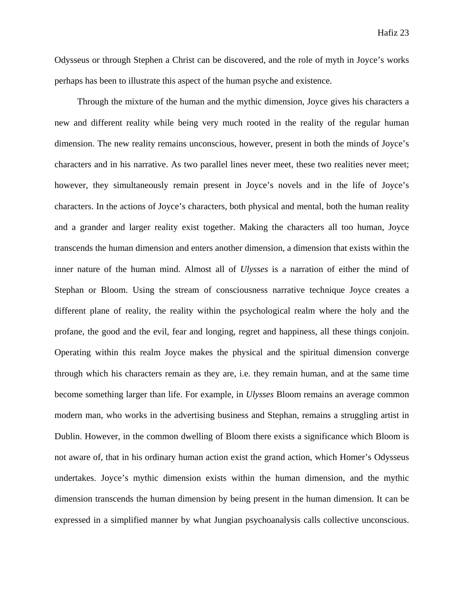Odysseus or through Stephen a Christ can be discovered, and the role of myth in Joyce's works perhaps has been to illustrate this aspect of the human psyche and existence.

Through the mixture of the human and the mythic dimension, Joyce gives his characters a new and different reality while being very much rooted in the reality of the regular human dimension. The new reality remains unconscious, however, present in both the minds of Joyce's characters and in his narrative. As two parallel lines never meet, these two realities never meet; however, they simultaneously remain present in Joyce's novels and in the life of Joyce's characters. In the actions of Joyce's characters, both physical and mental, both the human reality and a grander and larger reality exist together. Making the characters all too human, Joyce transcends the human dimension and enters another dimension, a dimension that exists within the inner nature of the human mind. Almost all of *Ulysses* is a narration of either the mind of Stephan or Bloom. Using the stream of consciousness narrative technique Joyce creates a different plane of reality, the reality within the psychological realm where the holy and the profane, the good and the evil, fear and longing, regret and happiness, all these things conjoin. Operating within this realm Joyce makes the physical and the spiritual dimension converge through which his characters remain as they are, i.e. they remain human, and at the same time become something larger than life. For example, in *Ulysses* Bloom remains an average common modern man, who works in the advertising business and Stephan, remains a struggling artist in Dublin. However, in the common dwelling of Bloom there exists a significance which Bloom is not aware of, that in his ordinary human action exist the grand action, which Homer's Odysseus undertakes. Joyce's mythic dimension exists within the human dimension, and the mythic dimension transcends the human dimension by being present in the human dimension. It can be expressed in a simplified manner by what Jungian psychoanalysis calls collective unconscious.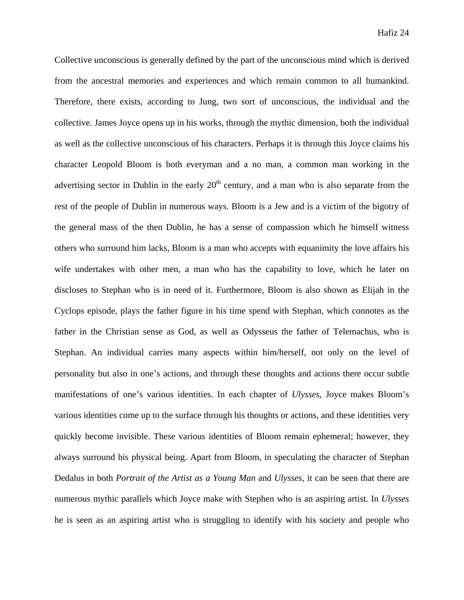Collective unconscious is generally defined by the part of the unconscious mind which is derived from the ancestral memories and experiences and which remain common to all humankind. Therefore, there exists, according to Jung, two sort of unconscious, the individual and the collective. James Joyce opens up in his works, through the mythic dimension, both the individual as well as the collective unconscious of his characters. Perhaps it is through this Joyce claims his character Leopold Bloom is both everyman and a no man, a common man working in the advertising sector in Dublin in the early  $20<sup>th</sup>$  century, and a man who is also separate from the rest of the people of Dublin in numerous ways. Bloom is a Jew and is a victim of the bigotry of the general mass of the then Dublin, he has a sense of compassion which he himself witness others who surround him lacks, Bloom is a man who accepts with equanimity the love affairs his wife undertakes with other men, a man who has the capability to love, which he later on discloses to Stephan who is in need of it. Furthermore, Bloom is also shown as Elijah in the Cyclops episode, plays the father figure in his time spend with Stephan, which connotes as the father in the Christian sense as God, as well as Odysseus the father of Telemachus, who is Stephan. An individual carries many aspects within him/herself, not only on the level of personality but also in one's actions, and through these thoughts and actions there occur subtle manifestations of one's various identities. In each chapter of *Ulysses,* Joyce makes Bloom's various identities come up to the surface through his thoughts or actions, and these identities very quickly become invisible. These various identities of Bloom remain ephemeral; however, they always surround his physical being. Apart from Bloom, in speculating the character of Stephan Dedalus in both *Portrait of the Artist as a Young Man* and *Ulysses*, it can be seen that there are numerous mythic parallels which Joyce make with Stephen who is an aspiring artist. In *Ulysses*  he is seen as an aspiring artist who is struggling to identify with his society and people who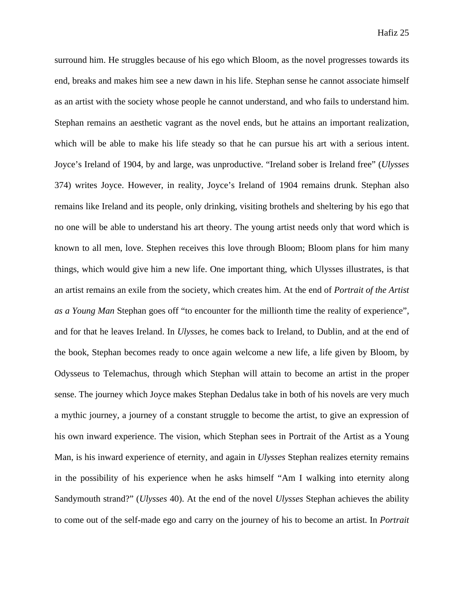surround him. He struggles because of his ego which Bloom, as the novel progresses towards its end, breaks and makes him see a new dawn in his life. Stephan sense he cannot associate himself as an artist with the society whose people he cannot understand, and who fails to understand him. Stephan remains an aesthetic vagrant as the novel ends, but he attains an important realization, which will be able to make his life steady so that he can pursue his art with a serious intent. Joyce's Ireland of 1904, by and large, was unproductive. "Ireland sober is Ireland free" (*Ulysses* 374) writes Joyce. However, in reality, Joyce's Ireland of 1904 remains drunk. Stephan also remains like Ireland and its people, only drinking, visiting brothels and sheltering by his ego that no one will be able to understand his art theory. The young artist needs only that word which is known to all men, love. Stephen receives this love through Bloom; Bloom plans for him many things, which would give him a new life. One important thing, which Ulysses illustrates, is that an artist remains an exile from the society, which creates him. At the end of *Portrait of the Artist as a Young Man* Stephan goes off "to encounter for the millionth time the reality of experience", and for that he leaves Ireland. In *Ulysses,* he comes back to Ireland, to Dublin, and at the end of the book, Stephan becomes ready to once again welcome a new life, a life given by Bloom, by Odysseus to Telemachus, through which Stephan will attain to become an artist in the proper sense. The journey which Joyce makes Stephan Dedalus take in both of his novels are very much a mythic journey, a journey of a constant struggle to become the artist, to give an expression of his own inward experience. The vision, which Stephan sees in Portrait of the Artist as a Young Man, is his inward experience of eternity, and again in *Ulysses* Stephan realizes eternity remains in the possibility of his experience when he asks himself "Am I walking into eternity along Sandymouth strand?" (*Ulysses* 40). At the end of the novel *Ulysses* Stephan achieves the ability to come out of the self-made ego and carry on the journey of his to become an artist. In *Portrait*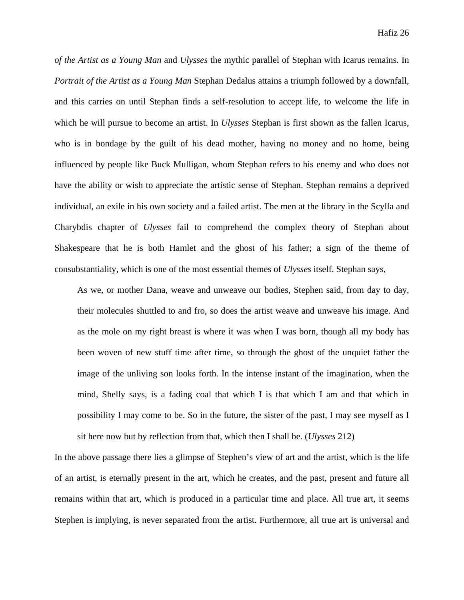*of the Artist as a Young Man* and *Ulysses* the mythic parallel of Stephan with Icarus remains. In *Portrait of the Artist as a Young Man* Stephan Dedalus attains a triumph followed by a downfall, and this carries on until Stephan finds a self-resolution to accept life, to welcome the life in which he will pursue to become an artist. In *Ulysses* Stephan is first shown as the fallen Icarus, who is in bondage by the guilt of his dead mother, having no money and no home, being influenced by people like Buck Mulligan, whom Stephan refers to his enemy and who does not have the ability or wish to appreciate the artistic sense of Stephan. Stephan remains a deprived individual, an exile in his own society and a failed artist. The men at the library in the Scylla and Charybdis chapter of *Ulysses* fail to comprehend the complex theory of Stephan about Shakespeare that he is both Hamlet and the ghost of his father; a sign of the theme of consubstantiality, which is one of the most essential themes of *Ulysses* itself. Stephan says,

As we, or mother Dana, weave and unweave our bodies, Stephen said, from day to day, their molecules shuttled to and fro, so does the artist weave and unweave his image. And as the mole on my right breast is where it was when I was born, though all my body has been woven of new stuff time after time, so through the ghost of the unquiet father the image of the unliving son looks forth. In the intense instant of the imagination, when the mind, Shelly says, is a fading coal that which I is that which I am and that which in possibility I may come to be. So in the future, the sister of the past, I may see myself as I sit here now but by reflection from that, which then I shall be. (*Ulysses* 212)

In the above passage there lies a glimpse of Stephen's view of art and the artist, which is the life of an artist, is eternally present in the art, which he creates, and the past, present and future all remains within that art, which is produced in a particular time and place. All true art, it seems Stephen is implying, is never separated from the artist. Furthermore, all true art is universal and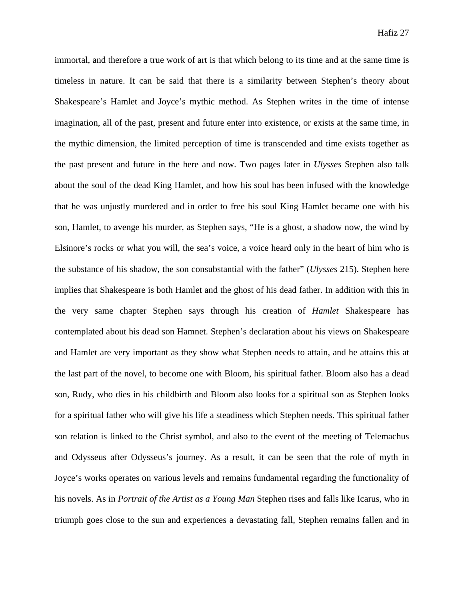immortal, and therefore a true work of art is that which belong to its time and at the same time is timeless in nature. It can be said that there is a similarity between Stephen's theory about Shakespeare's Hamlet and Joyce's mythic method. As Stephen writes in the time of intense imagination, all of the past, present and future enter into existence, or exists at the same time, in the mythic dimension, the limited perception of time is transcended and time exists together as the past present and future in the here and now. Two pages later in *Ulysses* Stephen also talk about the soul of the dead King Hamlet, and how his soul has been infused with the knowledge that he was unjustly murdered and in order to free his soul King Hamlet became one with his son, Hamlet, to avenge his murder, as Stephen says, "He is a ghost, a shadow now, the wind by Elsinore's rocks or what you will, the sea's voice, a voice heard only in the heart of him who is the substance of his shadow, the son consubstantial with the father" (*Ulysses* 215). Stephen here implies that Shakespeare is both Hamlet and the ghost of his dead father. In addition with this in the very same chapter Stephen says through his creation of *Hamlet* Shakespeare has contemplated about his dead son Hamnet. Stephen's declaration about his views on Shakespeare and Hamlet are very important as they show what Stephen needs to attain, and he attains this at the last part of the novel, to become one with Bloom, his spiritual father. Bloom also has a dead son, Rudy, who dies in his childbirth and Bloom also looks for a spiritual son as Stephen looks for a spiritual father who will give his life a steadiness which Stephen needs. This spiritual father son relation is linked to the Christ symbol, and also to the event of the meeting of Telemachus and Odysseus after Odysseus's journey. As a result, it can be seen that the role of myth in Joyce's works operates on various levels and remains fundamental regarding the functionality of his novels. As in *Portrait of the Artist as a Young Man* Stephen rises and falls like Icarus, who in triumph goes close to the sun and experiences a devastating fall, Stephen remains fallen and in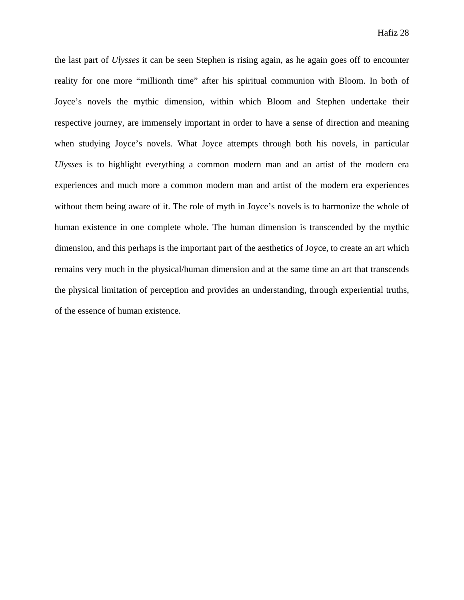the last part of *Ulysses* it can be seen Stephen is rising again, as he again goes off to encounter reality for one more "millionth time" after his spiritual communion with Bloom. In both of Joyce's novels the mythic dimension, within which Bloom and Stephen undertake their respective journey, are immensely important in order to have a sense of direction and meaning when studying Joyce's novels. What Joyce attempts through both his novels, in particular *Ulysses* is to highlight everything a common modern man and an artist of the modern era experiences and much more a common modern man and artist of the modern era experiences without them being aware of it. The role of myth in Joyce's novels is to harmonize the whole of human existence in one complete whole. The human dimension is transcended by the mythic dimension, and this perhaps is the important part of the aesthetics of Joyce, to create an art which remains very much in the physical/human dimension and at the same time an art that transcends the physical limitation of perception and provides an understanding, through experiential truths, of the essence of human existence.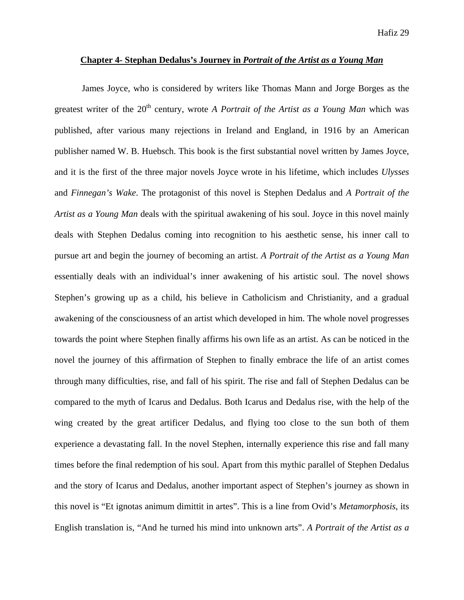#### **Chapter 4- Stephan Dedalus's Journey in** *Portrait of the Artist as a Young Man*

James Joyce, who is considered by writers like Thomas Mann and Jorge Borges as the greatest writer of the 20<sup>th</sup> century, wrote *A Portrait of the Artist as a Young Man* which was published, after various many rejections in Ireland and England, in 1916 by an American publisher named W. B. Huebsch. This book is the first substantial novel written by James Joyce, and it is the first of the three major novels Joyce wrote in his lifetime, which includes *Ulysses* and *Finnegan's Wake*. The protagonist of this novel is Stephen Dedalus and *A Portrait of the Artist as a Young Man* deals with the spiritual awakening of his soul. Joyce in this novel mainly deals with Stephen Dedalus coming into recognition to his aesthetic sense, his inner call to pursue art and begin the journey of becoming an artist. *A Portrait of the Artist as a Young Man* essentially deals with an individual's inner awakening of his artistic soul. The novel shows Stephen's growing up as a child, his believe in Catholicism and Christianity, and a gradual awakening of the consciousness of an artist which developed in him. The whole novel progresses towards the point where Stephen finally affirms his own life as an artist. As can be noticed in the novel the journey of this affirmation of Stephen to finally embrace the life of an artist comes through many difficulties, rise, and fall of his spirit. The rise and fall of Stephen Dedalus can be compared to the myth of Icarus and Dedalus. Both Icarus and Dedalus rise, with the help of the wing created by the great artificer Dedalus, and flying too close to the sun both of them experience a devastating fall. In the novel Stephen, internally experience this rise and fall many times before the final redemption of his soul. Apart from this mythic parallel of Stephen Dedalus and the story of Icarus and Dedalus, another important aspect of Stephen's journey as shown in this novel is "Et ignotas animum dimittit in artes". This is a line from Ovid's *Metamorphosis*, its English translation is, "And he turned his mind into unknown arts". *A Portrait of the Artist as a*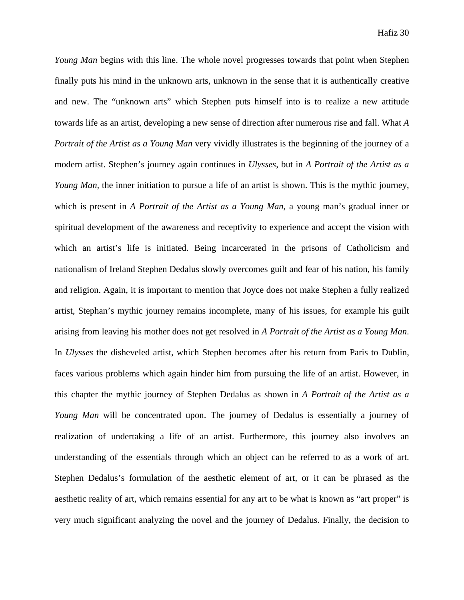*Young Man* begins with this line. The whole novel progresses towards that point when Stephen finally puts his mind in the unknown arts, unknown in the sense that it is authentically creative and new. The "unknown arts" which Stephen puts himself into is to realize a new attitude towards life as an artist, developing a new sense of direction after numerous rise and fall. What *A Portrait of the Artist as a Young Man* very vividly illustrates is the beginning of the journey of a modern artist. Stephen's journey again continues in *Ulysses*, but in *A Portrait of the Artist as a Young Man,* the inner initiation to pursue a life of an artist is shown. This is the mythic journey, which is present in *A Portrait of the Artist as a Young Man*, a young man's gradual inner or spiritual development of the awareness and receptivity to experience and accept the vision with which an artist's life is initiated. Being incarcerated in the prisons of Catholicism and nationalism of Ireland Stephen Dedalus slowly overcomes guilt and fear of his nation, his family and religion. Again, it is important to mention that Joyce does not make Stephen a fully realized artist, Stephan's mythic journey remains incomplete, many of his issues, for example his guilt arising from leaving his mother does not get resolved in *A Portrait of the Artist as a Young Man*. In *Ulysses* the disheveled artist, which Stephen becomes after his return from Paris to Dublin, faces various problems which again hinder him from pursuing the life of an artist. However, in this chapter the mythic journey of Stephen Dedalus as shown in *A Portrait of the Artist as a Young Man* will be concentrated upon. The journey of Dedalus is essentially a journey of realization of undertaking a life of an artist. Furthermore, this journey also involves an understanding of the essentials through which an object can be referred to as a work of art. Stephen Dedalus's formulation of the aesthetic element of art, or it can be phrased as the aesthetic reality of art, which remains essential for any art to be what is known as "art proper" is very much significant analyzing the novel and the journey of Dedalus. Finally, the decision to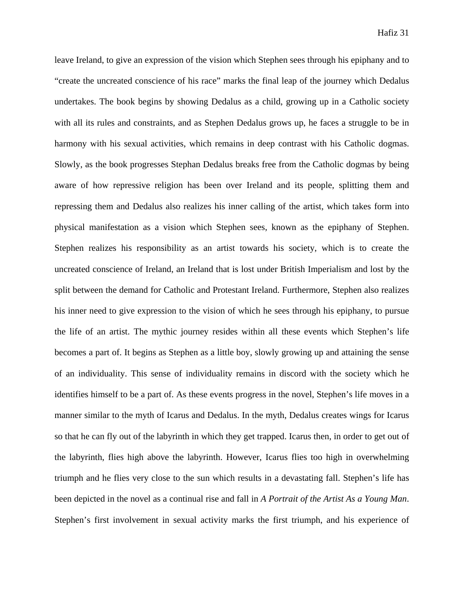leave Ireland, to give an expression of the vision which Stephen sees through his epiphany and to "create the uncreated conscience of his race" marks the final leap of the journey which Dedalus undertakes. The book begins by showing Dedalus as a child, growing up in a Catholic society with all its rules and constraints, and as Stephen Dedalus grows up, he faces a struggle to be in harmony with his sexual activities, which remains in deep contrast with his Catholic dogmas. Slowly, as the book progresses Stephan Dedalus breaks free from the Catholic dogmas by being aware of how repressive religion has been over Ireland and its people, splitting them and repressing them and Dedalus also realizes his inner calling of the artist, which takes form into physical manifestation as a vision which Stephen sees, known as the epiphany of Stephen. Stephen realizes his responsibility as an artist towards his society, which is to create the uncreated conscience of Ireland, an Ireland that is lost under British Imperialism and lost by the split between the demand for Catholic and Protestant Ireland. Furthermore, Stephen also realizes his inner need to give expression to the vision of which he sees through his epiphany, to pursue the life of an artist. The mythic journey resides within all these events which Stephen's life becomes a part of. It begins as Stephen as a little boy, slowly growing up and attaining the sense of an individuality. This sense of individuality remains in discord with the society which he identifies himself to be a part of. As these events progress in the novel, Stephen's life moves in a manner similar to the myth of Icarus and Dedalus. In the myth, Dedalus creates wings for Icarus so that he can fly out of the labyrinth in which they get trapped. Icarus then, in order to get out of the labyrinth, flies high above the labyrinth. However, Icarus flies too high in overwhelming triumph and he flies very close to the sun which results in a devastating fall. Stephen's life has been depicted in the novel as a continual rise and fall in *A Portrait of the Artist As a Young Man*. Stephen's first involvement in sexual activity marks the first triumph, and his experience of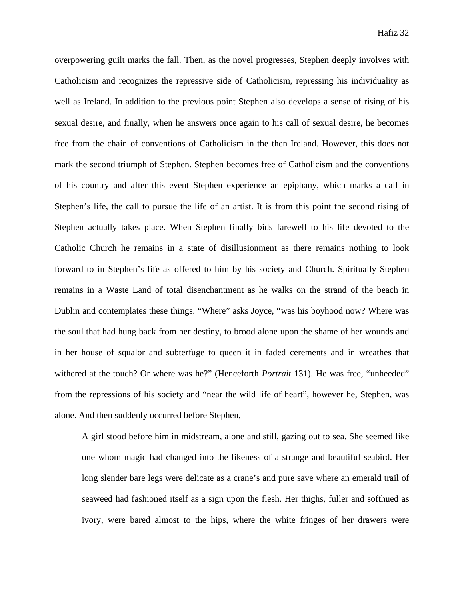overpowering guilt marks the fall. Then, as the novel progresses, Stephen deeply involves with Catholicism and recognizes the repressive side of Catholicism, repressing his individuality as well as Ireland. In addition to the previous point Stephen also develops a sense of rising of his sexual desire, and finally, when he answers once again to his call of sexual desire, he becomes free from the chain of conventions of Catholicism in the then Ireland. However, this does not mark the second triumph of Stephen. Stephen becomes free of Catholicism and the conventions of his country and after this event Stephen experience an epiphany, which marks a call in Stephen's life, the call to pursue the life of an artist. It is from this point the second rising of Stephen actually takes place. When Stephen finally bids farewell to his life devoted to the Catholic Church he remains in a state of disillusionment as there remains nothing to look forward to in Stephen's life as offered to him by his society and Church. Spiritually Stephen remains in a Waste Land of total disenchantment as he walks on the strand of the beach in Dublin and contemplates these things. "Where" asks Joyce, "was his boyhood now? Where was the soul that had hung back from her destiny, to brood alone upon the shame of her wounds and in her house of squalor and subterfuge to queen it in faded cerements and in wreathes that withered at the touch? Or where was he?" (Henceforth *Portrait* 131). He was free, "unheeded" from the repressions of his society and "near the wild life of heart", however he, Stephen, was alone. And then suddenly occurred before Stephen,

A girl stood before him in midstream, alone and still, gazing out to sea. She seemed like one whom magic had changed into the likeness of a strange and beautiful seabird. Her long slender bare legs were delicate as a crane's and pure save where an emerald trail of seaweed had fashioned itself as a sign upon the flesh. Her thighs, fuller and softhued as ivory, were bared almost to the hips, where the white fringes of her drawers were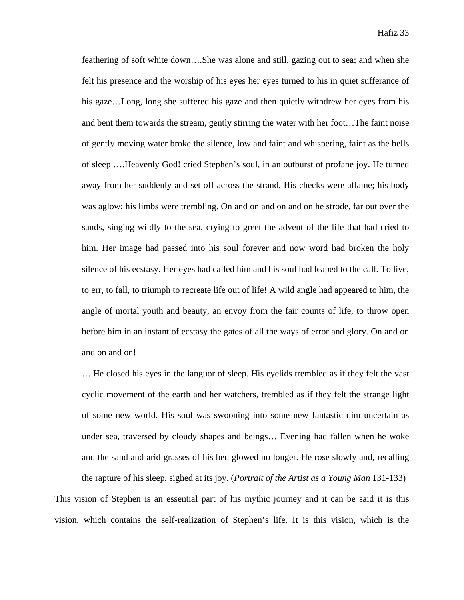feathering of soft white down….She was alone and still, gazing out to sea; and when she felt his presence and the worship of his eyes her eyes turned to his in quiet sufferance of his gaze…Long, long she suffered his gaze and then quietly withdrew her eyes from his and bent them towards the stream, gently stirring the water with her foot…The faint noise of gently moving water broke the silence, low and faint and whispering, faint as the bells of sleep ….Heavenly God! cried Stephen's soul, in an outburst of profane joy. He turned away from her suddenly and set off across the strand, His checks were aflame; his body was aglow; his limbs were trembling. On and on and on and on he strode, far out over the sands, singing wildly to the sea, crying to greet the advent of the life that had cried to him. Her image had passed into his soul forever and now word had broken the holy silence of his ecstasy. Her eyes had called him and his soul had leaped to the call. To live, to err, to fall, to triumph to recreate life out of life! A wild angle had appeared to him, the angle of mortal youth and beauty, an envoy from the fair counts of life, to throw open before him in an instant of ecstasy the gates of all the ways of error and glory. On and on and on and on!

….He closed his eyes in the languor of sleep. His eyelids trembled as if they felt the vast cyclic movement of the earth and her watchers, trembled as if they felt the strange light of some new world. His soul was swooning into some new fantastic dim uncertain as under sea, traversed by cloudy shapes and beings… Evening had fallen when he woke and the sand and arid grasses of his bed glowed no longer. He rose slowly and, recalling

the rapture of his sleep, sighed at its joy. (*Portrait of the Artist as a Young Man* 131-133) This vision of Stephen is an essential part of his mythic journey and it can be said it is this vision, which contains the self-realization of Stephen's life. It is this vision, which is the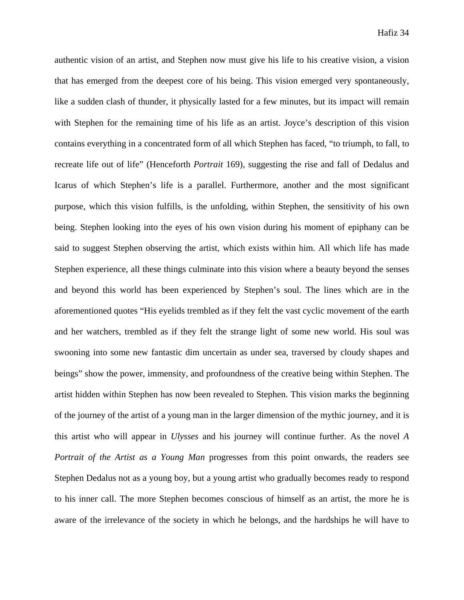authentic vision of an artist, and Stephen now must give his life to his creative vision, a vision that has emerged from the deepest core of his being. This vision emerged very spontaneously, like a sudden clash of thunder, it physically lasted for a few minutes, but its impact will remain with Stephen for the remaining time of his life as an artist. Joyce's description of this vision contains everything in a concentrated form of all which Stephen has faced, "to triumph, to fall, to recreate life out of life" (Henceforth *Portrait* 169), suggesting the rise and fall of Dedalus and Icarus of which Stephen's life is a parallel. Furthermore, another and the most significant purpose, which this vision fulfills, is the unfolding, within Stephen, the sensitivity of his own being. Stephen looking into the eyes of his own vision during his moment of epiphany can be said to suggest Stephen observing the artist, which exists within him. All which life has made Stephen experience, all these things culminate into this vision where a beauty beyond the senses and beyond this world has been experienced by Stephen's soul. The lines which are in the aforementioned quotes "His eyelids trembled as if they felt the vast cyclic movement of the earth and her watchers, trembled as if they felt the strange light of some new world. His soul was swooning into some new fantastic dim uncertain as under sea, traversed by cloudy shapes and beings" show the power, immensity, and profoundness of the creative being within Stephen. The artist hidden within Stephen has now been revealed to Stephen. This vision marks the beginning of the journey of the artist of a young man in the larger dimension of the mythic journey, and it is this artist who will appear in *Ulysses* and his journey will continue further. As the novel *A Portrait of the Artist as a Young Man* progresses from this point onwards, the readers see Stephen Dedalus not as a young boy, but a young artist who gradually becomes ready to respond to his inner call. The more Stephen becomes conscious of himself as an artist, the more he is aware of the irrelevance of the society in which he belongs, and the hardships he will have to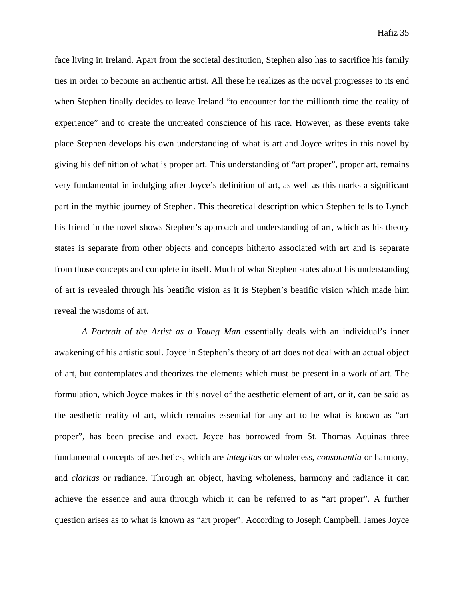face living in Ireland. Apart from the societal destitution, Stephen also has to sacrifice his family ties in order to become an authentic artist. All these he realizes as the novel progresses to its end when Stephen finally decides to leave Ireland "to encounter for the millionth time the reality of experience" and to create the uncreated conscience of his race. However, as these events take place Stephen develops his own understanding of what is art and Joyce writes in this novel by giving his definition of what is proper art. This understanding of "art proper", proper art, remains very fundamental in indulging after Joyce's definition of art, as well as this marks a significant part in the mythic journey of Stephen. This theoretical description which Stephen tells to Lynch his friend in the novel shows Stephen's approach and understanding of art, which as his theory states is separate from other objects and concepts hitherto associated with art and is separate from those concepts and complete in itself. Much of what Stephen states about his understanding of art is revealed through his beatific vision as it is Stephen's beatific vision which made him reveal the wisdoms of art.

*A Portrait of the Artist as a Young Man* essentially deals with an individual's inner awakening of his artistic soul. Joyce in Stephen's theory of art does not deal with an actual object of art, but contemplates and theorizes the elements which must be present in a work of art. The formulation, which Joyce makes in this novel of the aesthetic element of art, or it, can be said as the aesthetic reality of art, which remains essential for any art to be what is known as "art proper", has been precise and exact. Joyce has borrowed from St. Thomas Aquinas three fundamental concepts of aesthetics, which are *integritas* or wholeness, *consonantia* or harmony, and *claritas* or radiance. Through an object, having wholeness, harmony and radiance it can achieve the essence and aura through which it can be referred to as "art proper". A further question arises as to what is known as "art proper". According to Joseph Campbell, James Joyce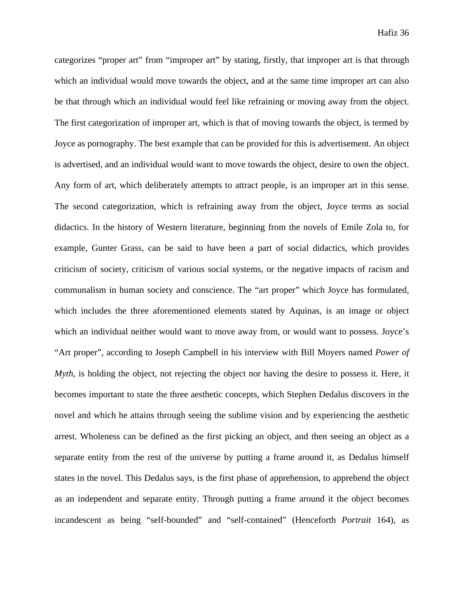categorizes "proper art" from "improper art" by stating, firstly, that improper art is that through which an individual would move towards the object, and at the same time improper art can also be that through which an individual would feel like refraining or moving away from the object. The first categorization of improper art, which is that of moving towards the object, is termed by Joyce as pornography. The best example that can be provided for this is advertisement. An object is advertised, and an individual would want to move towards the object, desire to own the object. Any form of art, which deliberately attempts to attract people, is an improper art in this sense. The second categorization, which is refraining away from the object, Joyce terms as social didactics. In the history of Western literature, beginning from the novels of Emile Zola to, for example, Gunter Grass, can be said to have been a part of social didactics, which provides criticism of society, criticism of various social systems, or the negative impacts of racism and communalism in human society and conscience. The "art proper" which Joyce has formulated, which includes the three aforementioned elements stated by Aquinas, is an image or object which an individual neither would want to move away from, or would want to possess. Joyce's "Art proper", according to Joseph Campbell in his interview with Bill Moyers named *Power of Myth*, is holding the object, not rejecting the object nor having the desire to possess it. Here, it becomes important to state the three aesthetic concepts, which Stephen Dedalus discovers in the novel and which he attains through seeing the sublime vision and by experiencing the aesthetic arrest. Wholeness can be defined as the first picking an object, and then seeing an object as a separate entity from the rest of the universe by putting a frame around it, as Dedalus himself states in the novel. This Dedalus says, is the first phase of apprehension, to apprehend the object as an independent and separate entity. Through putting a frame around it the object becomes incandescent as being "self-bounded" and "self-contained" (Henceforth *Portrait* 164), as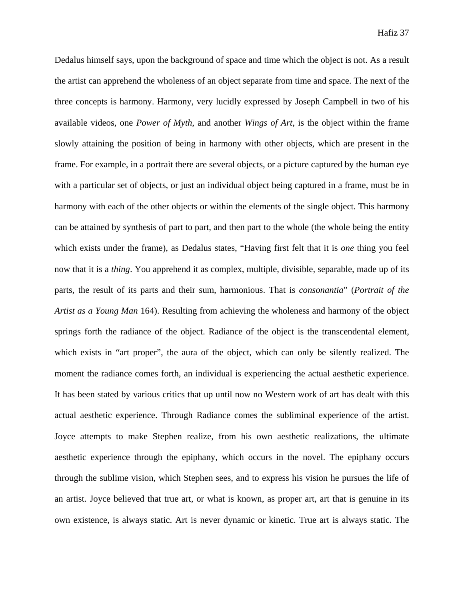Dedalus himself says, upon the background of space and time which the object is not. As a result the artist can apprehend the wholeness of an object separate from time and space. The next of the three concepts is harmony. Harmony, very lucidly expressed by Joseph Campbell in two of his available videos, one *Power of Myth*, and another *Wings of Art*, is the object within the frame slowly attaining the position of being in harmony with other objects, which are present in the frame. For example, in a portrait there are several objects, or a picture captured by the human eye with a particular set of objects, or just an individual object being captured in a frame, must be in harmony with each of the other objects or within the elements of the single object. This harmony can be attained by synthesis of part to part, and then part to the whole (the whole being the entity which exists under the frame), as Dedalus states, "Having first felt that it is *one* thing you feel now that it is a *thing*. You apprehend it as complex, multiple, divisible, separable, made up of its parts, the result of its parts and their sum, harmonious. That is *consonantia*" (*Portrait of the Artist as a Young Man* 164). Resulting from achieving the wholeness and harmony of the object springs forth the radiance of the object. Radiance of the object is the transcendental element, which exists in "art proper", the aura of the object, which can only be silently realized. The moment the radiance comes forth, an individual is experiencing the actual aesthetic experience. It has been stated by various critics that up until now no Western work of art has dealt with this actual aesthetic experience. Through Radiance comes the subliminal experience of the artist. Joyce attempts to make Stephen realize, from his own aesthetic realizations, the ultimate aesthetic experience through the epiphany, which occurs in the novel. The epiphany occurs through the sublime vision, which Stephen sees, and to express his vision he pursues the life of an artist. Joyce believed that true art, or what is known, as proper art, art that is genuine in its own existence, is always static. Art is never dynamic or kinetic. True art is always static. The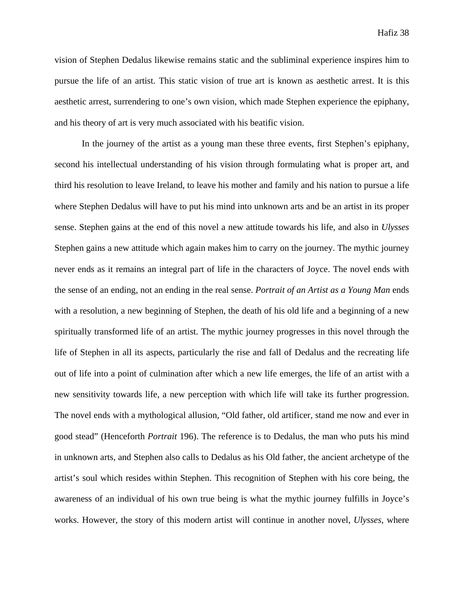vision of Stephen Dedalus likewise remains static and the subliminal experience inspires him to pursue the life of an artist. This static vision of true art is known as aesthetic arrest. It is this aesthetic arrest, surrendering to one's own vision, which made Stephen experience the epiphany, and his theory of art is very much associated with his beatific vision.

In the journey of the artist as a young man these three events, first Stephen's epiphany, second his intellectual understanding of his vision through formulating what is proper art, and third his resolution to leave Ireland, to leave his mother and family and his nation to pursue a life where Stephen Dedalus will have to put his mind into unknown arts and be an artist in its proper sense. Stephen gains at the end of this novel a new attitude towards his life, and also in *Ulysses* Stephen gains a new attitude which again makes him to carry on the journey. The mythic journey never ends as it remains an integral part of life in the characters of Joyce. The novel ends with the sense of an ending, not an ending in the real sense. *Portrait of an Artist as a Young Man* ends with a resolution, a new beginning of Stephen, the death of his old life and a beginning of a new spiritually transformed life of an artist. The mythic journey progresses in this novel through the life of Stephen in all its aspects, particularly the rise and fall of Dedalus and the recreating life out of life into a point of culmination after which a new life emerges, the life of an artist with a new sensitivity towards life, a new perception with which life will take its further progression. The novel ends with a mythological allusion, "Old father, old artificer, stand me now and ever in good stead" (Henceforth *Portrait* 196). The reference is to Dedalus, the man who puts his mind in unknown arts, and Stephen also calls to Dedalus as his Old father, the ancient archetype of the artist's soul which resides within Stephen. This recognition of Stephen with his core being, the awareness of an individual of his own true being is what the mythic journey fulfills in Joyce's works. However, the story of this modern artist will continue in another novel, *Ulysses*, where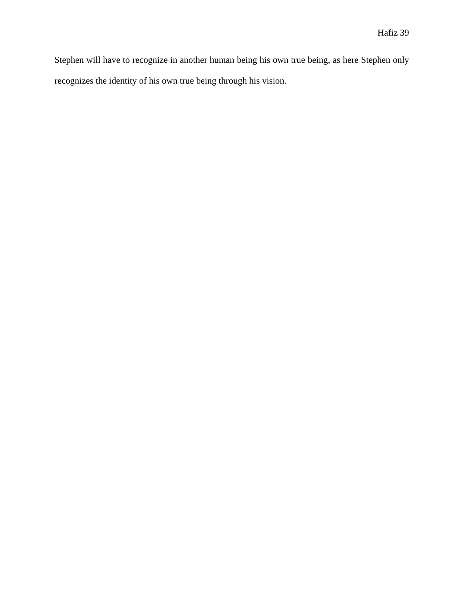Stephen will have to recognize in another human being his own true being, as here Stephen only recognizes the identity of his own true being through his vision.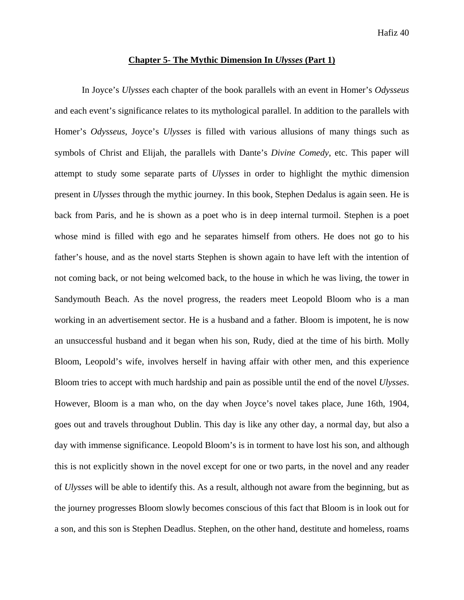#### **Chapter 5- The Mythic Dimension In** *Ulysses* **(Part 1)**

In Joyce's *Ulysses* each chapter of the book parallels with an event in Homer's *Odysseus* and each event's significance relates to its mythological parallel. In addition to the parallels with Homer's *Odysseus*, Joyce's *Ulysses* is filled with various allusions of many things such as symbols of Christ and Elijah, the parallels with Dante's *Divine Comedy*, etc. This paper will attempt to study some separate parts of *Ulysses* in order to highlight the mythic dimension present in *Ulysses* through the mythic journey. In this book, Stephen Dedalus is again seen. He is back from Paris, and he is shown as a poet who is in deep internal turmoil. Stephen is a poet whose mind is filled with ego and he separates himself from others. He does not go to his father's house, and as the novel starts Stephen is shown again to have left with the intention of not coming back, or not being welcomed back, to the house in which he was living, the tower in Sandymouth Beach. As the novel progress, the readers meet Leopold Bloom who is a man working in an advertisement sector. He is a husband and a father. Bloom is impotent, he is now an unsuccessful husband and it began when his son, Rudy, died at the time of his birth. Molly Bloom, Leopold's wife, involves herself in having affair with other men, and this experience Bloom tries to accept with much hardship and pain as possible until the end of the novel *Ulysses*. However, Bloom is a man who, on the day when Joyce's novel takes place, June 16th, 1904, goes out and travels throughout Dublin. This day is like any other day, a normal day, but also a day with immense significance. Leopold Bloom's is in torment to have lost his son, and although this is not explicitly shown in the novel except for one or two parts, in the novel and any reader of *Ulysses* will be able to identify this. As a result, although not aware from the beginning, but as the journey progresses Bloom slowly becomes conscious of this fact that Bloom is in look out for a son, and this son is Stephen Deadlus. Stephen, on the other hand, destitute and homeless, roams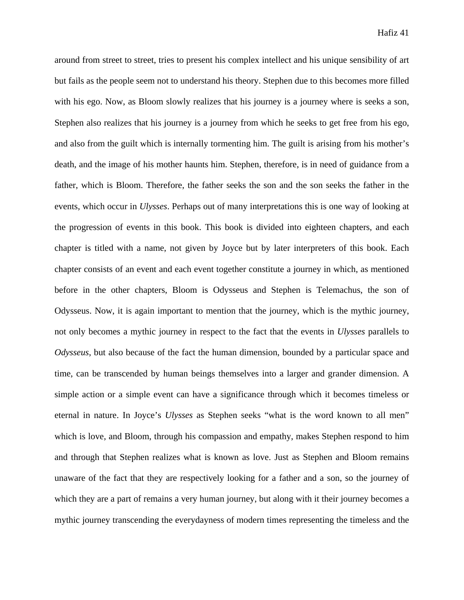around from street to street, tries to present his complex intellect and his unique sensibility of art but fails as the people seem not to understand his theory. Stephen due to this becomes more filled with his ego. Now, as Bloom slowly realizes that his journey is a journey where is seeks a son, Stephen also realizes that his journey is a journey from which he seeks to get free from his ego, and also from the guilt which is internally tormenting him. The guilt is arising from his mother's death, and the image of his mother haunts him. Stephen, therefore, is in need of guidance from a father, which is Bloom. Therefore, the father seeks the son and the son seeks the father in the events, which occur in *Ulysses*. Perhaps out of many interpretations this is one way of looking at the progression of events in this book. This book is divided into eighteen chapters, and each chapter is titled with a name, not given by Joyce but by later interpreters of this book. Each chapter consists of an event and each event together constitute a journey in which, as mentioned before in the other chapters, Bloom is Odysseus and Stephen is Telemachus, the son of Odysseus. Now, it is again important to mention that the journey, which is the mythic journey, not only becomes a mythic journey in respect to the fact that the events in *Ulysses* parallels to *Odysseus*, but also because of the fact the human dimension, bounded by a particular space and time, can be transcended by human beings themselves into a larger and grander dimension. A simple action or a simple event can have a significance through which it becomes timeless or eternal in nature. In Joyce's *Ulysses* as Stephen seeks "what is the word known to all men" which is love, and Bloom, through his compassion and empathy, makes Stephen respond to him and through that Stephen realizes what is known as love. Just as Stephen and Bloom remains unaware of the fact that they are respectively looking for a father and a son, so the journey of which they are a part of remains a very human journey, but along with it their journey becomes a mythic journey transcending the everydayness of modern times representing the timeless and the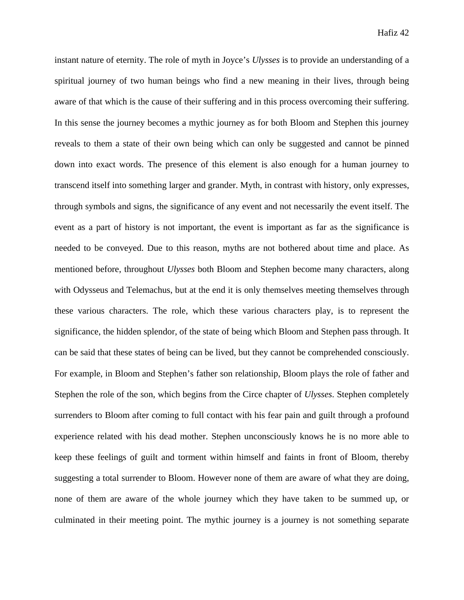instant nature of eternity. The role of myth in Joyce's *Ulysses* is to provide an understanding of a spiritual journey of two human beings who find a new meaning in their lives, through being aware of that which is the cause of their suffering and in this process overcoming their suffering. In this sense the journey becomes a mythic journey as for both Bloom and Stephen this journey reveals to them a state of their own being which can only be suggested and cannot be pinned down into exact words. The presence of this element is also enough for a human journey to transcend itself into something larger and grander. Myth, in contrast with history, only expresses, through symbols and signs, the significance of any event and not necessarily the event itself. The event as a part of history is not important, the event is important as far as the significance is needed to be conveyed. Due to this reason, myths are not bothered about time and place. As mentioned before, throughout *Ulysses* both Bloom and Stephen become many characters, along with Odysseus and Telemachus, but at the end it is only themselves meeting themselves through these various characters. The role, which these various characters play, is to represent the significance, the hidden splendor, of the state of being which Bloom and Stephen pass through. It can be said that these states of being can be lived, but they cannot be comprehended consciously. For example, in Bloom and Stephen's father son relationship, Bloom plays the role of father and Stephen the role of the son, which begins from the Circe chapter of *Ulysses*. Stephen completely surrenders to Bloom after coming to full contact with his fear pain and guilt through a profound experience related with his dead mother. Stephen unconsciously knows he is no more able to keep these feelings of guilt and torment within himself and faints in front of Bloom, thereby suggesting a total surrender to Bloom. However none of them are aware of what they are doing, none of them are aware of the whole journey which they have taken to be summed up, or culminated in their meeting point. The mythic journey is a journey is not something separate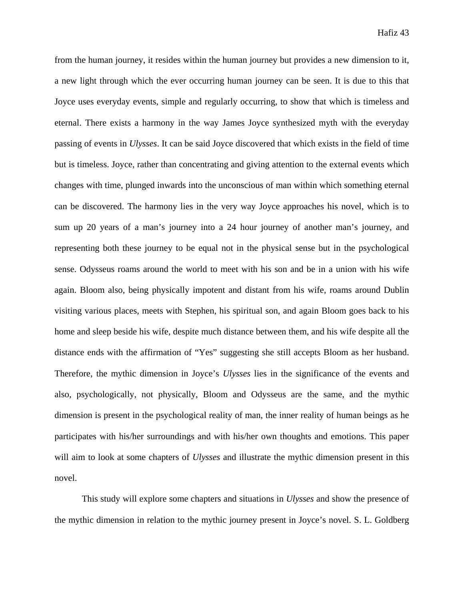from the human journey, it resides within the human journey but provides a new dimension to it, a new light through which the ever occurring human journey can be seen. It is due to this that Joyce uses everyday events, simple and regularly occurring, to show that which is timeless and eternal. There exists a harmony in the way James Joyce synthesized myth with the everyday passing of events in *Ulysses*. It can be said Joyce discovered that which exists in the field of time but is timeless. Joyce, rather than concentrating and giving attention to the external events which changes with time, plunged inwards into the unconscious of man within which something eternal can be discovered. The harmony lies in the very way Joyce approaches his novel, which is to sum up 20 years of a man's journey into a 24 hour journey of another man's journey, and representing both these journey to be equal not in the physical sense but in the psychological sense. Odysseus roams around the world to meet with his son and be in a union with his wife again. Bloom also, being physically impotent and distant from his wife, roams around Dublin visiting various places, meets with Stephen, his spiritual son, and again Bloom goes back to his home and sleep beside his wife, despite much distance between them, and his wife despite all the distance ends with the affirmation of "Yes" suggesting she still accepts Bloom as her husband. Therefore, the mythic dimension in Joyce's *Ulysses* lies in the significance of the events and also, psychologically, not physically, Bloom and Odysseus are the same, and the mythic dimension is present in the psychological reality of man, the inner reality of human beings as he participates with his/her surroundings and with his/her own thoughts and emotions. This paper will aim to look at some chapters of *Ulysses* and illustrate the mythic dimension present in this novel.

This study will explore some chapters and situations in *Ulysses* and show the presence of the mythic dimension in relation to the mythic journey present in Joyce's novel. S. L. Goldberg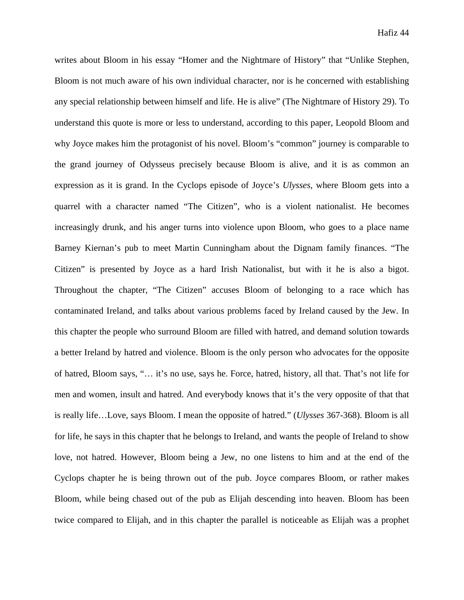writes about Bloom in his essay "Homer and the Nightmare of History" that "Unlike Stephen, Bloom is not much aware of his own individual character, nor is he concerned with establishing any special relationship between himself and life. He is alive" (The Nightmare of History 29). To understand this quote is more or less to understand, according to this paper, Leopold Bloom and why Joyce makes him the protagonist of his novel. Bloom's "common" journey is comparable to the grand journey of Odysseus precisely because Bloom is alive, and it is as common an expression as it is grand. In the Cyclops episode of Joyce's *Ulysses*, where Bloom gets into a quarrel with a character named "The Citizen", who is a violent nationalist. He becomes increasingly drunk, and his anger turns into violence upon Bloom, who goes to a place name Barney Kiernan's pub to meet Martin Cunningham about the Dignam family finances. "The Citizen" is presented by Joyce as a hard Irish Nationalist, but with it he is also a bigot. Throughout the chapter, "The Citizen" accuses Bloom of belonging to a race which has contaminated Ireland, and talks about various problems faced by Ireland caused by the Jew. In this chapter the people who surround Bloom are filled with hatred, and demand solution towards a better Ireland by hatred and violence. Bloom is the only person who advocates for the opposite of hatred, Bloom says, "… it's no use, says he. Force, hatred, history, all that. That's not life for men and women, insult and hatred. And everybody knows that it's the very opposite of that that is really life…Love, says Bloom. I mean the opposite of hatred." (*Ulysses* 367-368). Bloom is all for life, he says in this chapter that he belongs to Ireland, and wants the people of Ireland to show love, not hatred. However, Bloom being a Jew, no one listens to him and at the end of the Cyclops chapter he is being thrown out of the pub. Joyce compares Bloom, or rather makes Bloom, while being chased out of the pub as Elijah descending into heaven. Bloom has been twice compared to Elijah, and in this chapter the parallel is noticeable as Elijah was a prophet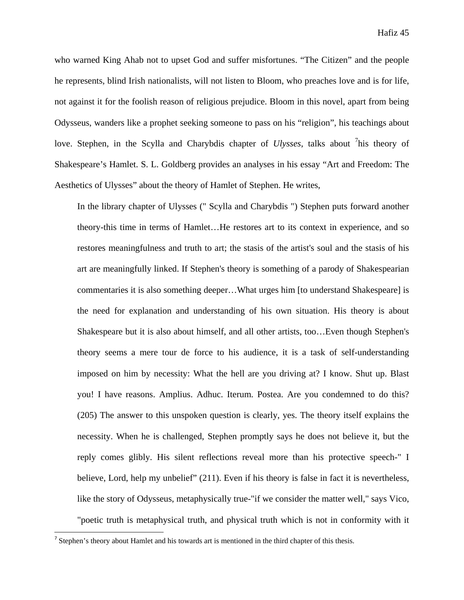who warned King Ahab not to upset God and suffer misfortunes. "The Citizen" and the people he represents, blind Irish nationalists, will not listen to Bloom, who preaches love and is for life, not against it for the foolish reason of religious prejudice. Bloom in this novel, apart from being Odysseus, wanders like a prophet seeking someone to pass on his "religion", his teachings about love. Stephen, in the Scylla and Charybdis chapter of *Ulysses*, talks about <sup>7</sup>his theory of Shakespeare's Hamlet. S. L. Goldberg provides an analyses in his essay "Art and Freedom: The Aesthetics of Ulysses" about the theory of Hamlet of Stephen. He writes,

In the library chapter of Ulysses (" Scylla and Charybdis ") Stephen puts forward another theory-this time in terms of Hamlet…He restores art to its context in experience, and so restores meaningfulness and truth to art; the stasis of the artist's soul and the stasis of his art are meaningfully linked. If Stephen's theory is something of a parody of Shakespearian commentaries it is also something deeper…What urges him [to understand Shakespeare] is the need for explanation and understanding of his own situation. His theory is about Shakespeare but it is also about himself, and all other artists, too…Even though Stephen's theory seems a mere tour de force to his audience, it is a task of self-understanding imposed on him by necessity: What the hell are you driving at? I know. Shut up. Blast you! I have reasons. Amplius. Adhuc. Iterum. Postea. Are you condemned to do this? (205) The answer to this unspoken question is clearly, yes. The theory itself explains the necessity. When he is challenged, Stephen promptly says he does not believe it, but the reply comes glibly. His silent reflections reveal more than his protective speech-" I believe, Lord, help my unbelief" (211). Even if his theory is false in fact it is nevertheless, like the story of Odysseus, metaphysically true-"if we consider the matter well," says Vico, "poetic truth is metaphysical truth, and physical truth which is not in conformity with it

 $<sup>7</sup>$  Stephen's theory about Hamlet and his towards art is mentioned in the third chapter of this thesis.</sup>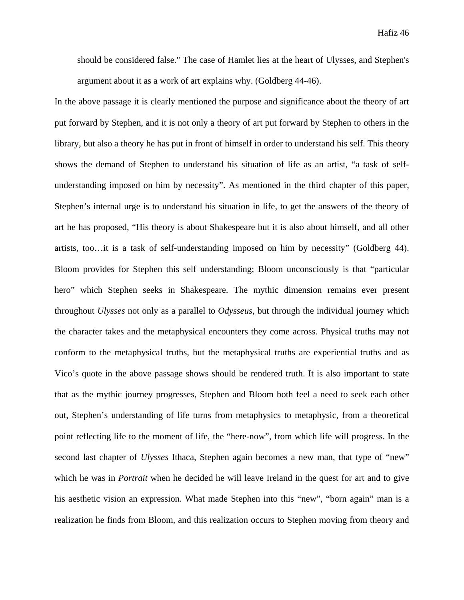should be considered false." The case of Hamlet lies at the heart of Ulysses, and Stephen's argument about it as a work of art explains why. (Goldberg 44-46).

In the above passage it is clearly mentioned the purpose and significance about the theory of art put forward by Stephen, and it is not only a theory of art put forward by Stephen to others in the library, but also a theory he has put in front of himself in order to understand his self. This theory shows the demand of Stephen to understand his situation of life as an artist, "a task of selfunderstanding imposed on him by necessity". As mentioned in the third chapter of this paper, Stephen's internal urge is to understand his situation in life, to get the answers of the theory of art he has proposed, "His theory is about Shakespeare but it is also about himself, and all other artists, too…it is a task of self-understanding imposed on him by necessity" (Goldberg 44). Bloom provides for Stephen this self understanding; Bloom unconsciously is that "particular hero" which Stephen seeks in Shakespeare. The mythic dimension remains ever present throughout *Ulysses* not only as a parallel to *Odysseus*, but through the individual journey which the character takes and the metaphysical encounters they come across. Physical truths may not conform to the metaphysical truths, but the metaphysical truths are experiential truths and as Vico's quote in the above passage shows should be rendered truth. It is also important to state that as the mythic journey progresses, Stephen and Bloom both feel a need to seek each other out, Stephen's understanding of life turns from metaphysics to metaphysic, from a theoretical point reflecting life to the moment of life, the "here-now", from which life will progress. In the second last chapter of *Ulysses* Ithaca, Stephen again becomes a new man, that type of "new" which he was in *Portrait* when he decided he will leave Ireland in the quest for art and to give his aesthetic vision an expression. What made Stephen into this "new", "born again" man is a realization he finds from Bloom, and this realization occurs to Stephen moving from theory and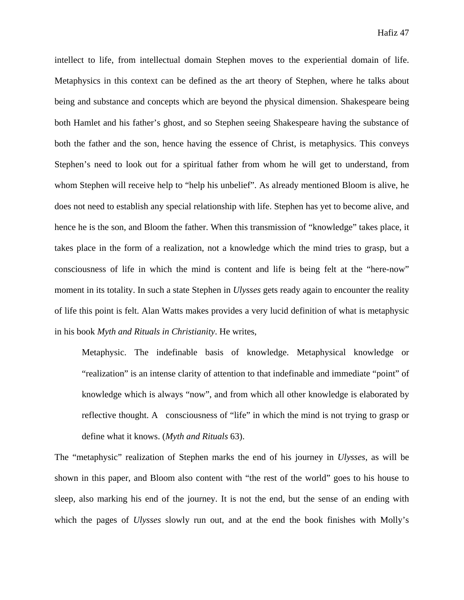intellect to life, from intellectual domain Stephen moves to the experiential domain of life. Metaphysics in this context can be defined as the art theory of Stephen, where he talks about being and substance and concepts which are beyond the physical dimension. Shakespeare being both Hamlet and his father's ghost, and so Stephen seeing Shakespeare having the substance of both the father and the son, hence having the essence of Christ, is metaphysics. This conveys Stephen's need to look out for a spiritual father from whom he will get to understand, from whom Stephen will receive help to "help his unbelief". As already mentioned Bloom is alive, he does not need to establish any special relationship with life. Stephen has yet to become alive, and hence he is the son, and Bloom the father. When this transmission of "knowledge" takes place, it takes place in the form of a realization, not a knowledge which the mind tries to grasp, but a consciousness of life in which the mind is content and life is being felt at the "here-now" moment in its totality. In such a state Stephen in *Ulysses* gets ready again to encounter the reality of life this point is felt. Alan Watts makes provides a very lucid definition of what is metaphysic in his book *Myth and Rituals in Christianity*. He writes,

Metaphysic. The indefinable basis of knowledge. Metaphysical knowledge or "realization" is an intense clarity of attention to that indefinable and immediate "point" of knowledge which is always "now", and from which all other knowledge is elaborated by reflective thought. A consciousness of "life" in which the mind is not trying to grasp or define what it knows. (*Myth and Rituals* 63).

The "metaphysic" realization of Stephen marks the end of his journey in *Ulysses*, as will be shown in this paper, and Bloom also content with "the rest of the world" goes to his house to sleep, also marking his end of the journey. It is not the end, but the sense of an ending with which the pages of *Ulysses* slowly run out, and at the end the book finishes with Molly's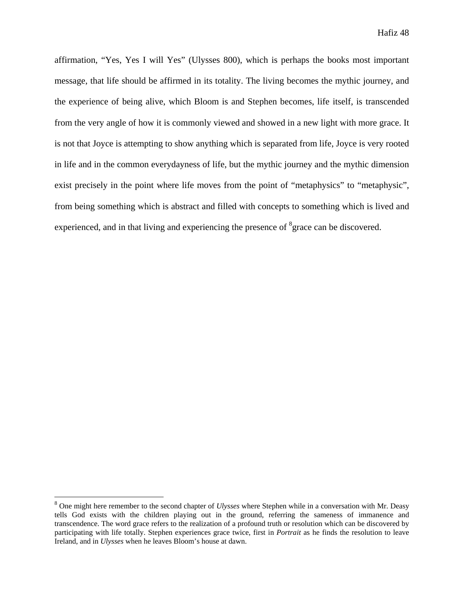affirmation, "Yes, Yes I will Yes" (Ulysses 800), which is perhaps the books most important message, that life should be affirmed in its totality. The living becomes the mythic journey, and the experience of being alive, which Bloom is and Stephen becomes, life itself, is transcended from the very angle of how it is commonly viewed and showed in a new light with more grace. It is not that Joyce is attempting to show anything which is separated from life, Joyce is very rooted in life and in the common everydayness of life, but the mythic journey and the mythic dimension exist precisely in the point where life moves from the point of "metaphysics" to "metaphysic", from being something which is abstract and filled with concepts to something which is lived and experienced, and in that living and experiencing the presence of  ${}^{8}$ grace can be discovered.

<sup>8</sup> One might here remember to the second chapter of *Ulysses* where Stephen while in a conversation with Mr. Deasy tells God exists with the children playing out in the ground, referring the sameness of immanence and transcendence. The word grace refers to the realization of a profound truth or resolution which can be discovered by participating with life totally. Stephen experiences grace twice, first in *Portrait* as he finds the resolution to leave Ireland, and in *Ulysses* when he leaves Bloom's house at dawn.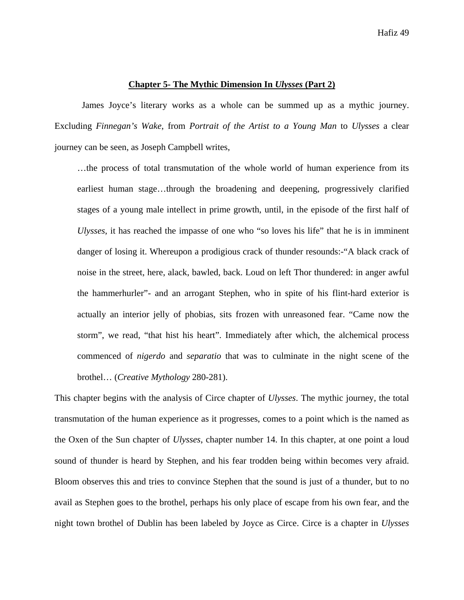#### **Chapter 5- The Mythic Dimension In** *Ulysses* **(Part 2)**

James Joyce's literary works as a whole can be summed up as a mythic journey. Excluding *Finnegan's Wake*, from *Portrait of the Artist to a Young Man* to *Ulysses* a clear journey can be seen, as Joseph Campbell writes,

…the process of total transmutation of the whole world of human experience from its earliest human stage…through the broadening and deepening, progressively clarified stages of a young male intellect in prime growth, until, in the episode of the first half of *Ulysses*, it has reached the impasse of one who "so loves his life" that he is in imminent danger of losing it. Whereupon a prodigious crack of thunder resounds:-"A black crack of noise in the street, here, alack, bawled, back. Loud on left Thor thundered: in anger awful the hammerhurler"- and an arrogant Stephen, who in spite of his flint-hard exterior is actually an interior jelly of phobias, sits frozen with unreasoned fear. "Came now the storm", we read, "that hist his heart". Immediately after which, the alchemical process commenced of *nigerdo* and *separatio* that was to culminate in the night scene of the brothel… (*Creative Mythology* 280-281).

This chapter begins with the analysis of Circe chapter of *Ulysses*. The mythic journey, the total transmutation of the human experience as it progresses, comes to a point which is the named as the Oxen of the Sun chapter of *Ulysses*, chapter number 14. In this chapter, at one point a loud sound of thunder is heard by Stephen, and his fear trodden being within becomes very afraid. Bloom observes this and tries to convince Stephen that the sound is just of a thunder, but to no avail as Stephen goes to the brothel, perhaps his only place of escape from his own fear, and the night town brothel of Dublin has been labeled by Joyce as Circe. Circe is a chapter in *Ulysses*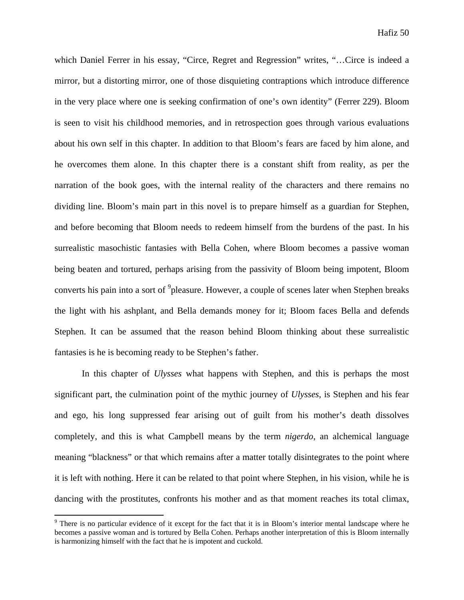which Daniel Ferrer in his essay, "Circe, Regret and Regression" writes, "…Circe is indeed a mirror, but a distorting mirror, one of those disquieting contraptions which introduce difference in the very place where one is seeking confirmation of one's own identity" (Ferrer 229). Bloom is seen to visit his childhood memories, and in retrospection goes through various evaluations about his own self in this chapter. In addition to that Bloom's fears are faced by him alone, and he overcomes them alone. In this chapter there is a constant shift from reality, as per the narration of the book goes, with the internal reality of the characters and there remains no dividing line. Bloom's main part in this novel is to prepare himself as a guardian for Stephen, and before becoming that Bloom needs to redeem himself from the burdens of the past. In his surrealistic masochistic fantasies with Bella Cohen, where Bloom becomes a passive woman being beaten and tortured, perhaps arising from the passivity of Bloom being impotent, Bloom converts his pain into a sort of <sup>9</sup>pleasure. However, a couple of scenes later when Stephen breaks the light with his ashplant, and Bella demands money for it; Bloom faces Bella and defends Stephen. It can be assumed that the reason behind Bloom thinking about these surrealistic fantasies is he is becoming ready to be Stephen's father.

In this chapter of *Ulysses* what happens with Stephen, and this is perhaps the most significant part, the culmination point of the mythic journey of *Ulysses*, is Stephen and his fear and ego, his long suppressed fear arising out of guilt from his mother's death dissolves completely, and this is what Campbell means by the term *nigerdo*, an alchemical language meaning "blackness" or that which remains after a matter totally disintegrates to the point where it is left with nothing. Here it can be related to that point where Stephen, in his vision, while he is dancing with the prostitutes, confronts his mother and as that moment reaches its total climax,

<sup>&</sup>lt;sup>9</sup> There is no particular evidence of it except for the fact that it is in Bloom's interior mental landscape where he becomes a passive woman and is tortured by Bella Cohen. Perhaps another interpretation of this is Bloom internally is harmonizing himself with the fact that he is impotent and cuckold.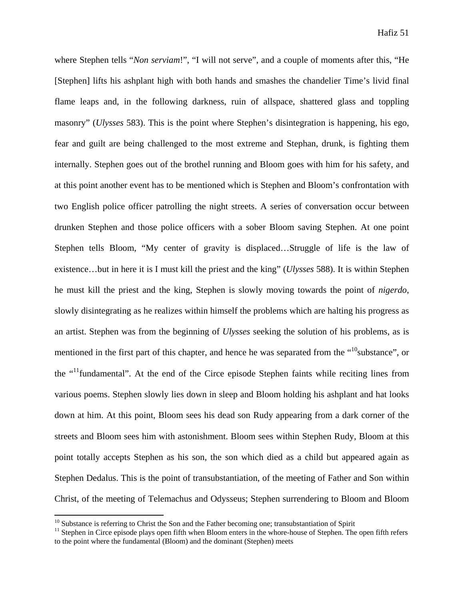where Stephen tells "*Non serviam*!", "I will not serve", and a couple of moments after this, "He [Stephen] lifts his ashplant high with both hands and smashes the chandelier Time's livid final flame leaps and, in the following darkness, ruin of allspace, shattered glass and toppling masonry" (*Ulysses* 583). This is the point where Stephen's disintegration is happening, his ego, fear and guilt are being challenged to the most extreme and Stephan, drunk, is fighting them internally. Stephen goes out of the brothel running and Bloom goes with him for his safety, and at this point another event has to be mentioned which is Stephen and Bloom's confrontation with two English police officer patrolling the night streets. A series of conversation occur between drunken Stephen and those police officers with a sober Bloom saving Stephen. At one point Stephen tells Bloom, "My center of gravity is displaced…Struggle of life is the law of existence…but in here it is I must kill the priest and the king" (*Ulysses* 588). It is within Stephen he must kill the priest and the king, Stephen is slowly moving towards the point of *nigerdo*, slowly disintegrating as he realizes within himself the problems which are halting his progress as an artist. Stephen was from the beginning of *Ulysses* seeking the solution of his problems, as is mentioned in the first part of this chapter, and hence he was separated from the "<sup>10</sup>substance", or the "11fundamental". At the end of the Circe episode Stephen faints while reciting lines from various poems. Stephen slowly lies down in sleep and Bloom holding his ashplant and hat looks down at him. At this point, Bloom sees his dead son Rudy appearing from a dark corner of the streets and Bloom sees him with astonishment. Bloom sees within Stephen Rudy, Bloom at this point totally accepts Stephen as his son, the son which died as a child but appeared again as Stephen Dedalus. This is the point of transubstantiation, of the meeting of Father and Son within Christ, of the meeting of Telemachus and Odysseus; Stephen surrendering to Bloom and Bloom

<sup>&</sup>lt;sup>10</sup> Substance is referring to Christ the Son and the Father becoming one; transubstantiation of Spirit  $11$  Stephen in Circe episode plays open fifth when Bloom enters in the whore-house of Stephen. The open fifth refers to the point where the fundamental (Bloom) and the dominant (Stephen) meets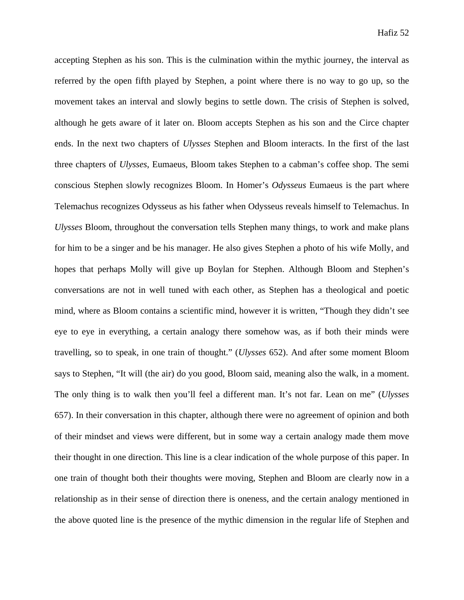accepting Stephen as his son. This is the culmination within the mythic journey, the interval as referred by the open fifth played by Stephen, a point where there is no way to go up, so the movement takes an interval and slowly begins to settle down. The crisis of Stephen is solved, although he gets aware of it later on. Bloom accepts Stephen as his son and the Circe chapter ends. In the next two chapters of *Ulysses* Stephen and Bloom interacts. In the first of the last three chapters of *Ulysses*, Eumaeus, Bloom takes Stephen to a cabman's coffee shop. The semi conscious Stephen slowly recognizes Bloom. In Homer's *Odysseus* Eumaeus is the part where Telemachus recognizes Odysseus as his father when Odysseus reveals himself to Telemachus. In *Ulysses* Bloom, throughout the conversation tells Stephen many things, to work and make plans for him to be a singer and be his manager. He also gives Stephen a photo of his wife Molly, and hopes that perhaps Molly will give up Boylan for Stephen. Although Bloom and Stephen's conversations are not in well tuned with each other, as Stephen has a theological and poetic mind, where as Bloom contains a scientific mind, however it is written, "Though they didn't see eye to eye in everything, a certain analogy there somehow was, as if both their minds were travelling, so to speak, in one train of thought." (*Ulysses* 652). And after some moment Bloom says to Stephen, "It will (the air) do you good, Bloom said, meaning also the walk, in a moment. The only thing is to walk then you'll feel a different man. It's not far. Lean on me" (*Ulysses* 657). In their conversation in this chapter, although there were no agreement of opinion and both of their mindset and views were different, but in some way a certain analogy made them move their thought in one direction. This line is a clear indication of the whole purpose of this paper. In one train of thought both their thoughts were moving, Stephen and Bloom are clearly now in a relationship as in their sense of direction there is oneness, and the certain analogy mentioned in the above quoted line is the presence of the mythic dimension in the regular life of Stephen and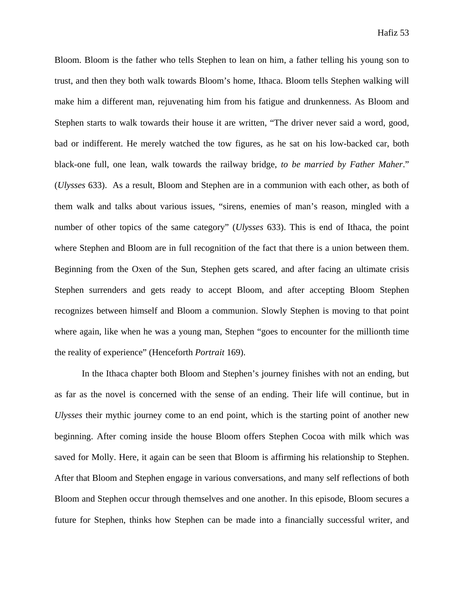Bloom. Bloom is the father who tells Stephen to lean on him, a father telling his young son to trust, and then they both walk towards Bloom's home, Ithaca. Bloom tells Stephen walking will make him a different man, rejuvenating him from his fatigue and drunkenness. As Bloom and Stephen starts to walk towards their house it are written, "The driver never said a word, good, bad or indifferent. He merely watched the tow figures, as he sat on his low-backed car, both black-one full, one lean, walk towards the railway bridge, *to be married by Father Maher*." (*Ulysses* 633). As a result, Bloom and Stephen are in a communion with each other, as both of them walk and talks about various issues, "sirens, enemies of man's reason, mingled with a number of other topics of the same category" (*Ulysses* 633). This is end of Ithaca, the point where Stephen and Bloom are in full recognition of the fact that there is a union between them. Beginning from the Oxen of the Sun, Stephen gets scared, and after facing an ultimate crisis Stephen surrenders and gets ready to accept Bloom, and after accepting Bloom Stephen recognizes between himself and Bloom a communion. Slowly Stephen is moving to that point where again, like when he was a young man, Stephen "goes to encounter for the millionth time the reality of experience" (Henceforth *Portrait* 169).

In the Ithaca chapter both Bloom and Stephen's journey finishes with not an ending, but as far as the novel is concerned with the sense of an ending. Their life will continue, but in *Ulysses* their mythic journey come to an end point, which is the starting point of another new beginning. After coming inside the house Bloom offers Stephen Cocoa with milk which was saved for Molly. Here, it again can be seen that Bloom is affirming his relationship to Stephen. After that Bloom and Stephen engage in various conversations, and many self reflections of both Bloom and Stephen occur through themselves and one another. In this episode, Bloom secures a future for Stephen, thinks how Stephen can be made into a financially successful writer, and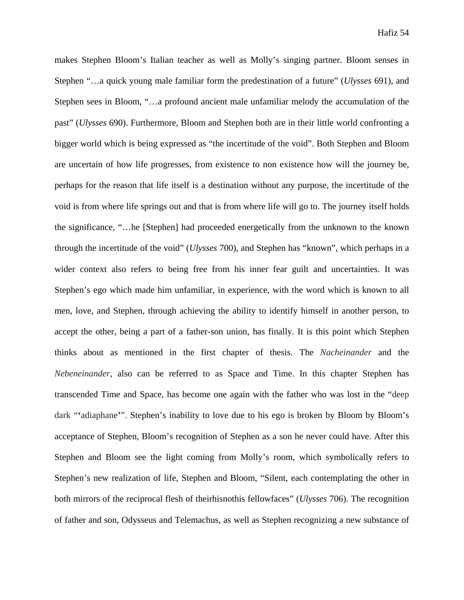makes Stephen Bloom's Italian teacher as well as Molly's singing partner. Bloom senses in Stephen "…a quick young male familiar form the predestination of a future" (*Ulysses* 691), and Stephen sees in Bloom, "…a profound ancient male unfamiliar melody the accumulation of the past" (*Ulysses* 690). Furthermore, Bloom and Stephen both are in their little world confronting a bigger world which is being expressed as "the incertitude of the void". Both Stephen and Bloom are uncertain of how life progresses, from existence to non existence how will the journey be, perhaps for the reason that life itself is a destination without any purpose, the incertitude of the void is from where life springs out and that is from where life will go to. The journey itself holds the significance, "…he [Stephen] had proceeded energetically from the unknown to the known through the incertitude of the void" (*Ulysses* 700), and Stephen has "known", which perhaps in a wider context also refers to being free from his inner fear guilt and uncertainties. It was Stephen's ego which made him unfamiliar, in experience, with the word which is known to all men, love, and Stephen, through achieving the ability to identify himself in another person, to accept the other, being a part of a father-son union, has finally. It is this point which Stephen thinks about as mentioned in the first chapter of thesis. The *Nacheinander* and the *Nebeneinander*, also can be referred to as Space and Time. In this chapter Stephen has transcended Time and Space, has become one again with the father who was lost in the "deep dark "**'**adiaphane**'**". Stephen's inability to love due to his ego is broken by Bloom by Bloom's acceptance of Stephen, Bloom's recognition of Stephen as a son he never could have. After this Stephen and Bloom see the light coming from Molly's room, which symbolically refers to Stephen's new realization of life, Stephen and Bloom, "Silent, each contemplating the other in both mirrors of the reciprocal flesh of theirhisnothis fellowfaces" (*Ulysses* 706). The recognition of father and son, Odysseus and Telemachus, as well as Stephen recognizing a new substance of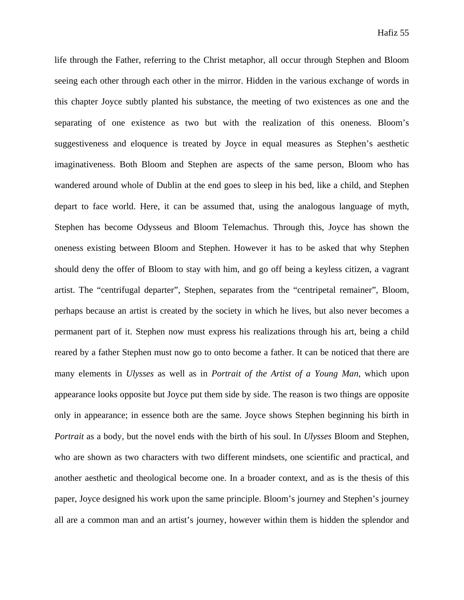life through the Father, referring to the Christ metaphor, all occur through Stephen and Bloom seeing each other through each other in the mirror. Hidden in the various exchange of words in this chapter Joyce subtly planted his substance, the meeting of two existences as one and the separating of one existence as two but with the realization of this oneness. Bloom's suggestiveness and eloquence is treated by Joyce in equal measures as Stephen's aesthetic imaginativeness. Both Bloom and Stephen are aspects of the same person, Bloom who has wandered around whole of Dublin at the end goes to sleep in his bed, like a child, and Stephen depart to face world. Here, it can be assumed that, using the analogous language of myth, Stephen has become Odysseus and Bloom Telemachus. Through this, Joyce has shown the oneness existing between Bloom and Stephen. However it has to be asked that why Stephen should deny the offer of Bloom to stay with him, and go off being a keyless citizen, a vagrant artist. The "centrifugal departer", Stephen, separates from the "centripetal remainer", Bloom, perhaps because an artist is created by the society in which he lives, but also never becomes a permanent part of it. Stephen now must express his realizations through his art, being a child reared by a father Stephen must now go to onto become a father. It can be noticed that there are many elements in *Ulysses* as well as in *Portrait of the Artist of a Young Man*, which upon appearance looks opposite but Joyce put them side by side. The reason is two things are opposite only in appearance; in essence both are the same. Joyce shows Stephen beginning his birth in *Portrait* as a body, but the novel ends with the birth of his soul. In *Ulysses* Bloom and Stephen, who are shown as two characters with two different mindsets, one scientific and practical, and another aesthetic and theological become one. In a broader context, and as is the thesis of this paper, Joyce designed his work upon the same principle. Bloom's journey and Stephen's journey all are a common man and an artist's journey, however within them is hidden the splendor and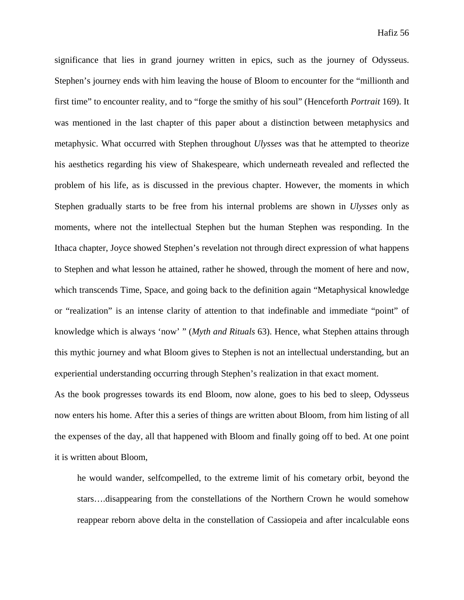significance that lies in grand journey written in epics, such as the journey of Odysseus. Stephen's journey ends with him leaving the house of Bloom to encounter for the "millionth and first time" to encounter reality, and to "forge the smithy of his soul" (Henceforth *Portrait* 169). It was mentioned in the last chapter of this paper about a distinction between metaphysics and metaphysic. What occurred with Stephen throughout *Ulysses* was that he attempted to theorize his aesthetics regarding his view of Shakespeare, which underneath revealed and reflected the problem of his life, as is discussed in the previous chapter. However, the moments in which Stephen gradually starts to be free from his internal problems are shown in *Ulysses* only as moments, where not the intellectual Stephen but the human Stephen was responding. In the Ithaca chapter, Joyce showed Stephen's revelation not through direct expression of what happens to Stephen and what lesson he attained, rather he showed, through the moment of here and now, which transcends Time, Space, and going back to the definition again "Metaphysical knowledge or "realization" is an intense clarity of attention to that indefinable and immediate "point" of knowledge which is always 'now' " (*Myth and Rituals* 63). Hence, what Stephen attains through this mythic journey and what Bloom gives to Stephen is not an intellectual understanding, but an experiential understanding occurring through Stephen's realization in that exact moment.

As the book progresses towards its end Bloom, now alone, goes to his bed to sleep, Odysseus now enters his home. After this a series of things are written about Bloom, from him listing of all the expenses of the day, all that happened with Bloom and finally going off to bed. At one point it is written about Bloom,

he would wander, selfcompelled, to the extreme limit of his cometary orbit, beyond the stars….disappearing from the constellations of the Northern Crown he would somehow reappear reborn above delta in the constellation of Cassiopeia and after incalculable eons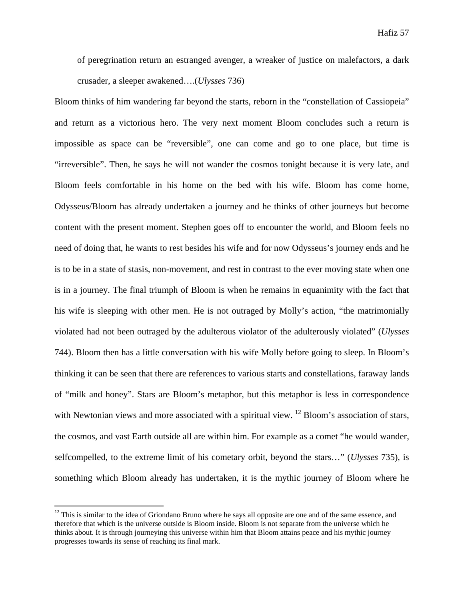of peregrination return an estranged avenger, a wreaker of justice on malefactors, a dark crusader, a sleeper awakened….(*Ulysses* 736)

Bloom thinks of him wandering far beyond the starts, reborn in the "constellation of Cassiopeia" and return as a victorious hero. The very next moment Bloom concludes such a return is impossible as space can be "reversible", one can come and go to one place, but time is "irreversible". Then, he says he will not wander the cosmos tonight because it is very late, and Bloom feels comfortable in his home on the bed with his wife. Bloom has come home, Odysseus/Bloom has already undertaken a journey and he thinks of other journeys but become content with the present moment. Stephen goes off to encounter the world, and Bloom feels no need of doing that, he wants to rest besides his wife and for now Odysseus's journey ends and he is to be in a state of stasis, non-movement, and rest in contrast to the ever moving state when one is in a journey. The final triumph of Bloom is when he remains in equanimity with the fact that his wife is sleeping with other men. He is not outraged by Molly's action, "the matrimonially violated had not been outraged by the adulterous violator of the adulterously violated" (*Ulysses* 744). Bloom then has a little conversation with his wife Molly before going to sleep. In Bloom's thinking it can be seen that there are references to various starts and constellations, faraway lands of "milk and honey". Stars are Bloom's metaphor, but this metaphor is less in correspondence with Newtonian views and more associated with a spiritual view. <sup>12</sup> Bloom's association of stars, the cosmos, and vast Earth outside all are within him. For example as a comet "he would wander, selfcompelled, to the extreme limit of his cometary orbit, beyond the stars…" (*Ulysses* 735), is something which Bloom already has undertaken, it is the mythic journey of Bloom where he

 $12$  This is similar to the idea of Griondano Bruno where he says all opposite are one and of the same essence, and therefore that which is the universe outside is Bloom inside. Bloom is not separate from the universe which he thinks about. It is through journeying this universe within him that Bloom attains peace and his mythic journey progresses towards its sense of reaching its final mark.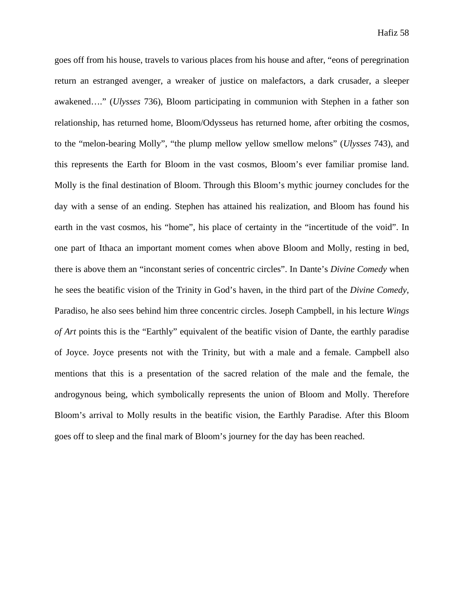goes off from his house, travels to various places from his house and after, "eons of peregrination return an estranged avenger, a wreaker of justice on malefactors, a dark crusader, a sleeper awakened…." (*Ulysses* 736), Bloom participating in communion with Stephen in a father son relationship, has returned home, Bloom/Odysseus has returned home, after orbiting the cosmos, to the "melon-bearing Molly", "the plump mellow yellow smellow melons" (*Ulysses* 743), and this represents the Earth for Bloom in the vast cosmos, Bloom's ever familiar promise land. Molly is the final destination of Bloom. Through this Bloom's mythic journey concludes for the day with a sense of an ending. Stephen has attained his realization, and Bloom has found his earth in the vast cosmos, his "home", his place of certainty in the "incertitude of the void". In one part of Ithaca an important moment comes when above Bloom and Molly, resting in bed, there is above them an "inconstant series of concentric circles". In Dante's *Divine Comedy* when he sees the beatific vision of the Trinity in God's haven, in the third part of the *Divine Comedy,* Paradiso, he also sees behind him three concentric circles. Joseph Campbell, in his lecture *Wings of Art* points this is the "Earthly" equivalent of the beatific vision of Dante, the earthly paradise of Joyce. Joyce presents not with the Trinity, but with a male and a female. Campbell also mentions that this is a presentation of the sacred relation of the male and the female, the androgynous being, which symbolically represents the union of Bloom and Molly. Therefore Bloom's arrival to Molly results in the beatific vision, the Earthly Paradise. After this Bloom goes off to sleep and the final mark of Bloom's journey for the day has been reached.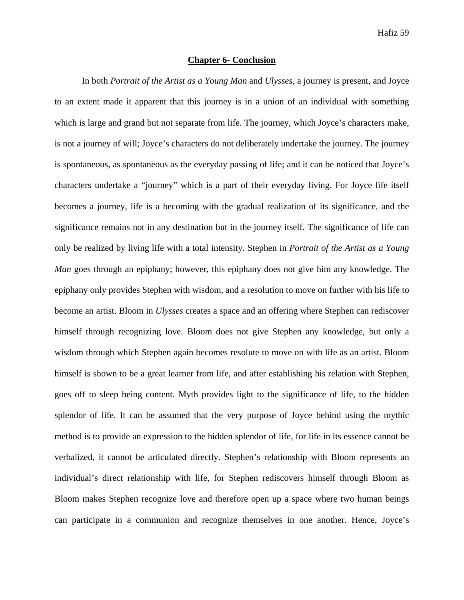### **Chapter 6- Conclusion**

In both *Portrait of the Artist as a Young Man* and *Ulysses,* a journey is present, and Joyce to an extent made it apparent that this journey is in a union of an individual with something which is large and grand but not separate from life. The journey, which Joyce's characters make, is not a journey of will; Joyce's characters do not deliberately undertake the journey. The journey is spontaneous, as spontaneous as the everyday passing of life; and it can be noticed that Joyce's characters undertake a "journey" which is a part of their everyday living. For Joyce life itself becomes a journey, life is a becoming with the gradual realization of its significance, and the significance remains not in any destination but in the journey itself. The significance of life can only be realized by living life with a total intensity. Stephen in *Portrait of the Artist as a Young Man* goes through an epiphany; however, this epiphany does not give him any knowledge. The epiphany only provides Stephen with wisdom, and a resolution to move on further with his life to become an artist. Bloom in *Ulysses* creates a space and an offering where Stephen can rediscover himself through recognizing love. Bloom does not give Stephen any knowledge, but only a wisdom through which Stephen again becomes resolute to move on with life as an artist. Bloom himself is shown to be a great learner from life, and after establishing his relation with Stephen, goes off to sleep being content. Myth provides light to the significance of life, to the hidden splendor of life. It can be assumed that the very purpose of Joyce behind using the mythic method is to provide an expression to the hidden splendor of life, for life in its essence cannot be verbalized, it cannot be articulated directly. Stephen's relationship with Bloom represents an individual's direct relationship with life, for Stephen rediscovers himself through Bloom as Bloom makes Stephen recognize love and therefore open up a space where two human beings can participate in a communion and recognize themselves in one another. Hence, Joyce's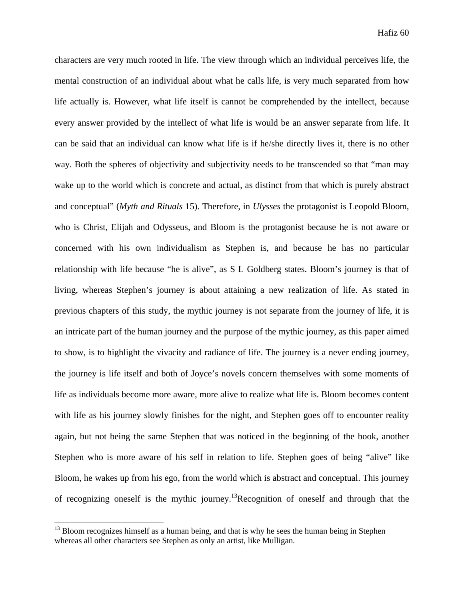characters are very much rooted in life. The view through which an individual perceives life, the mental construction of an individual about what he calls life, is very much separated from how life actually is. However, what life itself is cannot be comprehended by the intellect, because every answer provided by the intellect of what life is would be an answer separate from life. It can be said that an individual can know what life is if he/she directly lives it, there is no other way. Both the spheres of objectivity and subjectivity needs to be transcended so that "man may wake up to the world which is concrete and actual, as distinct from that which is purely abstract and conceptual" (*Myth and Rituals* 15). Therefore, in *Ulysses* the protagonist is Leopold Bloom, who is Christ, Elijah and Odysseus, and Bloom is the protagonist because he is not aware or concerned with his own individualism as Stephen is, and because he has no particular relationship with life because "he is alive", as S L Goldberg states. Bloom's journey is that of living, whereas Stephen's journey is about attaining a new realization of life. As stated in previous chapters of this study, the mythic journey is not separate from the journey of life, it is an intricate part of the human journey and the purpose of the mythic journey, as this paper aimed to show, is to highlight the vivacity and radiance of life. The journey is a never ending journey, the journey is life itself and both of Joyce's novels concern themselves with some moments of life as individuals become more aware, more alive to realize what life is. Bloom becomes content with life as his journey slowly finishes for the night, and Stephen goes off to encounter reality again, but not being the same Stephen that was noticed in the beginning of the book, another Stephen who is more aware of his self in relation to life. Stephen goes of being "alive" like Bloom, he wakes up from his ego, from the world which is abstract and conceptual. This journey of recognizing oneself is the mythic journey.13Recognition of oneself and through that the

<sup>&</sup>lt;sup>13</sup> Bloom recognizes himself as a human being, and that is why he sees the human being in Stephen whereas all other characters see Stephen as only an artist, like Mulligan.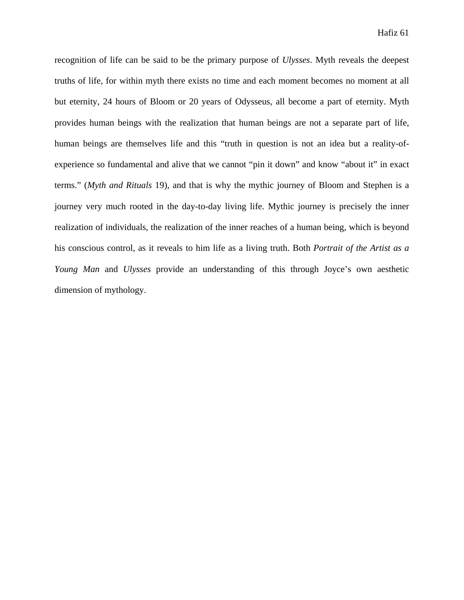recognition of life can be said to be the primary purpose of *Ulysses*. Myth reveals the deepest truths of life, for within myth there exists no time and each moment becomes no moment at all but eternity, 24 hours of Bloom or 20 years of Odysseus, all become a part of eternity. Myth provides human beings with the realization that human beings are not a separate part of life, human beings are themselves life and this "truth in question is not an idea but a reality-ofexperience so fundamental and alive that we cannot "pin it down" and know "about it" in exact terms." (*Myth and Rituals* 19), and that is why the mythic journey of Bloom and Stephen is a journey very much rooted in the day-to-day living life. Mythic journey is precisely the inner realization of individuals, the realization of the inner reaches of a human being, which is beyond his conscious control, as it reveals to him life as a living truth. Both *Portrait of the Artist as a Young Man* and *Ulysses* provide an understanding of this through Joyce's own aesthetic dimension of mythology.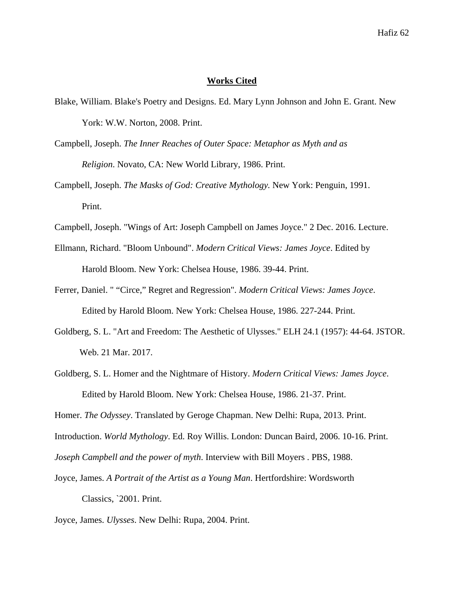### **Works Cited**

- Blake, William. Blake's Poetry and Designs. Ed. Mary Lynn Johnson and John E. Grant. New York: W.W. Norton, 2008. Print.
- Campbell, Joseph. *The Inner Reaches of Outer Space: Metaphor as Myth and as Religion*. Novato, CA: New World Library, 1986. Print.
- Campbell, Joseph. *The Masks of God: Creative Mythology.* New York: Penguin, 1991. Print.
- Campbell, Joseph. "Wings of Art: Joseph Campbell on James Joyce." 2 Dec. 2016. Lecture.
- Ellmann, Richard. "Bloom Unbound". *Modern Critical Views: James Joyce*. Edited by Harold Bloom. New York: Chelsea House, 1986. 39-44. Print.
- Ferrer, Daniel. " "Circe," Regret and Regression". *Modern Critical Views: James Joyce*. Edited by Harold Bloom. New York: Chelsea House, 1986. 227-244. Print.
- Goldberg, S. L. "Art and Freedom: The Aesthetic of Ulysses." ELH 24.1 (1957): 44-64. JSTOR. Web. 21 Mar. 2017.
- Goldberg, S. L. Homer and the Nightmare of History. *Modern Critical Views: James Joyce*. Edited by Harold Bloom. New York: Chelsea House, 1986. 21-37. Print.

Homer. *The Odyssey*. Translated by Geroge Chapman. New Delhi: Rupa, 2013. Print.

Introduction. *World Mythology*. Ed. Roy Willis. London: Duncan Baird, 2006. 10-16. Print.

*Joseph Campbell and the power of myth*. Interview with Bill Moyers . PBS, 1988.

- Joyce, James. *A Portrait of the Artist as a Young Man*. Hertfordshire: Wordsworth Classics, `2001. Print.
- Joyce, James. *Ulysses*. New Delhi: Rupa, 2004. Print.